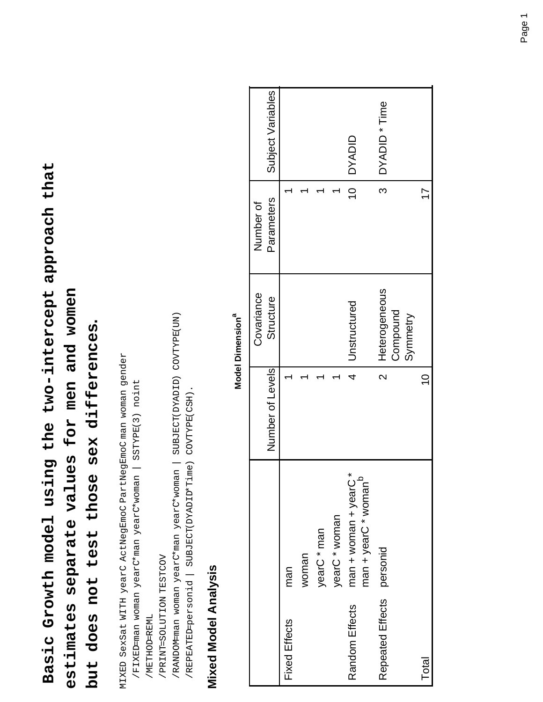**Basic Growth model using the two-intercept approach that**  Basic Growth model using the two-intercept approach that **estimates separate values for men and women**  estimates separate values for men and women

# but does not test those sex differences. **but does not test those sex differences.**

MIXED SexSat WITH yearC ActNegEmoC PartNegEmoC man woman gender MIXED SexSat WITH yearC ActNegEmoC PartNegEmoC man woman gender

 /FIXED=man woman yearC\*man yearC\*woman | SSTYPE(3) noint /FIXED=man woman yearC\*man yearC\*woman | SSTYPE(3) noint

 /METHOD=REML /METHOD=REML

 /PRINT=SOLUTION TESTCOV /PRINT=SOLUTION TESTCOV

 /RANDOM=man woman yearC\*man yearC\*woman | SUBJECT(DYADID) COVTYPE(UN) /RANDOM-man woman yearC\*man yearC\*woman | SUBJECT(DYADID) COVTYPE(UN)

/REPEATEDpersonid | SUBJECT(DYADID\*Time) COVTYPE(CSH). /REPEATED=personid | SUBJECT(DYADID\*Time) COVTYPE(CSH).

# **Mixed Model Analysis Mixed Model Analysis**

|                      |                                                              |                         | Covariance                            | Number of       |                   |
|----------------------|--------------------------------------------------------------|-------------------------|---------------------------------------|-----------------|-------------------|
|                      |                                                              | Number of Levels        | Structure                             | Parameters      | Subject Variables |
| <b>Fixed Effects</b> | man                                                          |                         |                                       |                 |                   |
|                      | woman                                                        |                         |                                       |                 |                   |
|                      | yearC * man                                                  |                         |                                       |                 |                   |
|                      | yearC * woman                                                |                         |                                       |                 |                   |
| Random Effects       | ×<br>man + yearC * woman <sup>b</sup><br>man + woman + yearC | 4                       | Unstructured                          | $\overline{10}$ | <b>DYADID</b>     |
| Repeated Effects     | personid                                                     | $\overline{\mathsf{C}}$ | Heterogeneous<br>Compound<br>Symmetry | $\frac{1}{3}$   | DYADID * Time     |
| Total                |                                                              | $\frac{0}{1}$           |                                       |                 |                   |

#### **Model Dimension**<sup>a</sup> **Model Dimensiona**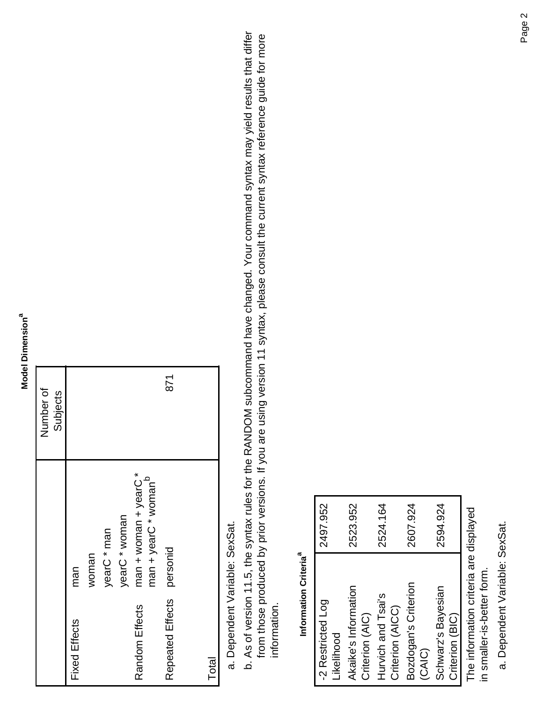#### **Model Dimension**<sup>a</sup> **Model Dimensiona**

|                      |                                  | Number of<br>Subjects |
|----------------------|----------------------------------|-----------------------|
| <b>Fixed Effects</b> | man                              |                       |
|                      | woman                            |                       |
|                      | yearC * man                      |                       |
|                      | yearC * woman                    |                       |
| Random Effects       | * C * Woman + year               |                       |
|                      | man + yearC * woman <sup>b</sup> |                       |
| Repeated Effects     | personid                         | 871                   |
|                      |                                  |                       |
| Total                |                                  |                       |

# Dependent Variable: SexSat. a. Dependent Variable: SexSat.

As of version 11.5, the syntax rules for the RANDOM subcommand have changed. Your command syntax may yield results that differ b. As of version 11.5, the syntax rules for the RANDOM subcommand have changed. Your command syntax may yield results that differ from those produced by prior versions. If you are using version 11 syntax, please consult the current syntax reference guide for more from those produced by prior versions. If you are using version 11 syntax, please consult the current syntax reference guide for more information. information.

#### Information Criteria<sup>a</sup> **Information Criteriaa**

| -2 Restricted Log                      | 2497.952 |
|----------------------------------------|----------|
| Likelihood                             |          |
| Akaike's Information                   | 2523.952 |
| Criterion (AIC)                        |          |
| Hurvich and Tsai's                     | 2524.164 |
| Criterion (AICC)                       |          |
| Bozdogan's Criterion                   | 2607.924 |
| (CAIC)                                 |          |
| Schwarz's Bayesian                     | 2594.924 |
| Criterion (BIC)                        |          |
| The information criteria are displayed |          |
| in smaller-is-better form.             |          |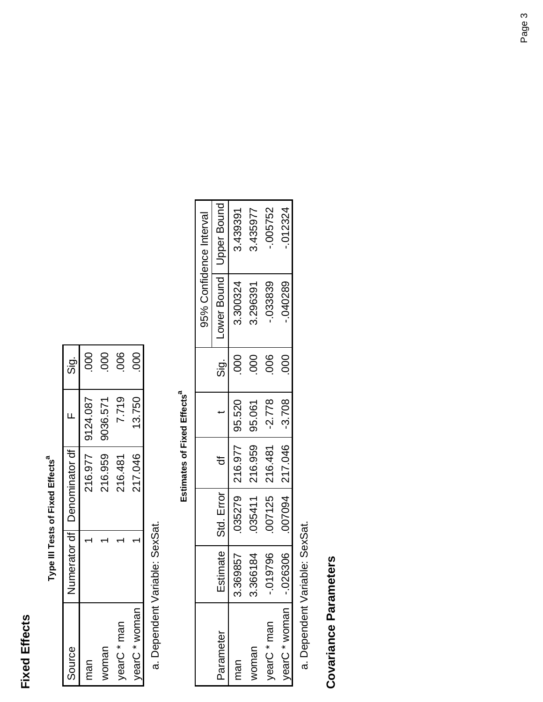#### **Fixed Effects Fixed Effects**

| l       |
|---------|
| j       |
| ដូ<br>J |
| ١       |

| Source        | Numerator df   Denominator df |          | <u>່ອ່</u>       |
|---------------|-------------------------------|----------|------------------|
| man           | 216.977                       | 9124.087 | 80               |
| woman         | 216.959                       | 9036.571 | $\overline{000}$ |
| yearC * man   | 216.481                       | 7.719    | 800              |
| vearC * woman | 217.046                       | 13.750   | 000              |

Dependent Variable: SexSat. a. Dependent Variable: SexSat.

## Estimates of Fixed Effects<sup>a</sup> **Estimates of Fixed Effects**<sup>a</sup>

|               |              |                       |                  |          |               |           | 95% Confidence Interval   |
|---------------|--------------|-----------------------|------------------|----------|---------------|-----------|---------------------------|
| Parameter     |              | Estimate   Std. Error |                  |          | .<br>Sig.     |           | Lower Bound   Upper Bound |
| man           | 3.369857     |                       | 035279   216.977 | 95.520   | $\frac{0}{0}$ | 3.300324  | 3.439391                  |
| voman         | .366184<br>က |                       | 035411   216.959 | 195.061  | $\frac{0}{0}$ | 3.296391  | 3.435977                  |
| vearC * man   | 019796       | 007125   216.481      |                  | $-2.778$ | 006           | $-033839$ | $-005752$                 |
| yearC * woman | .026306      |                       | 007094 217.046   | $-3.708$ | 000           | $-040289$ | $-012324$                 |

Dependent Variable: SexSat. a. Dependent Variable: SexSat.

Covariance Parameters **Covariance Parameters**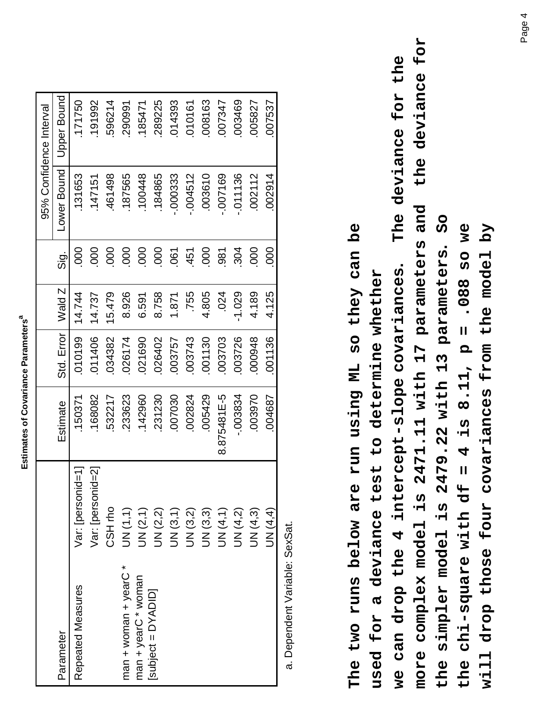| ֖֖֖֖֖֖֖֖ׅ֖ׅ֖ׅ֖ׅ֪ׅ֖ׅ֖֧ׅ֪ׅ֪֪֪֪֪֪֪֪֪֪֪֪֪֪֪֪֪֪֪֪֪֪֪֪֪֪֪֪֚֚֚֚֚֚֚֚֚֚֚֚֚֚֚֚֚֚֚֚֚֚֚֬֓֞֬֝֬֓֬֝֓֬֝֓֞֬֝֬֓֬֝֬<br>ı |
|-------------------------------------------------------------------------------------------------------|
|                                                                                                       |
| I                                                                                                     |
|                                                                                                       |

| Parameter                       |                   |             |            |          |                |             | 95% Confidence Interval |
|---------------------------------|-------------------|-------------|------------|----------|----------------|-------------|-------------------------|
|                                 |                   | Estimate    | Std. Error | Wald Z   | $\frac{1}{5}$  | Lower Bound | Jpper Bound             |
| Repeated Measures               | Var: [personid=1] | 150371      | 010199     | 14.744   | 000            | 131653      | 171750                  |
|                                 | Var: [personid=2] | 168082      | 011406     | 14.737   | 000            | .147151     | 191992                  |
| CSH <sub>ro</sub>               |                   | 532217      | 034382     | 15.479   | 000            | 461498      | 596214                  |
| UN(1,1)<br>man + years + chears |                   | 233623      | 026174     | 8.926    | 000            | 187565      | 290991                  |
| UN (2,1)<br>man + yearC * woman |                   | 142960      | 021690     | 6.591    | 000            | 100448      | 185471                  |
| UN (2,2)<br>Subject = DYADID]   |                   | 231230      | 026402     | 8.758    | 000            | .184865     | 289225                  |
| UN (3,1)                        |                   | 007030      | 003757     | 1.871    | $\overline{0}$ | -.000333    | 014393                  |
| UN (3,2)                        |                   | 002824      | 003743     | .755     | 451            | $-004512$   | 010161                  |
| UN (3,3)                        |                   | 005429      | 001130     | 4.805    | 000            | 003610      | 008163                  |
| <b>JN(4,1)</b>                  |                   | 8.875481E-5 | 003703     | .024     | 981            | 007169      | 007347                  |
| UN (4,2)                        |                   | $-003834$   | 003726     | $-1.029$ | 304            | $-011136$   | 003469                  |
| UN (4,3)                        |                   | 003970      | 000948     | 4.189    | 000            | 002112      | 005827                  |
| <b>JN (4,4)</b>                 |                   | 004687      | 001136     | 4.125    | 000            | 002914      | 007537                  |

**more complex model is 2471.11 with 17 parameters and the deviance for**  more complex model is 2471.11 with 17 parameters and the deviance for **we can drop the 4 intercept-slope covariances. The deviance for the**  The deviance for the **the simpler model is 2479.22 with 13 parameters. So O The two runs below are run using ML so they can be the chi-square with df = 4 is 8.11, p = .088 so we will drop those four covariances from the model by**  The two runs below are run using ML so they can be the chi-square with df = 4 is 8.11,  $p = .088$  so we will drop those four covariances from the model by the simpler model is 2479.22 with 13 parameters. we can drop the 4 intercept-slope covariances. **used for a deviance test to determine whether**  used for a deviance test to determine whether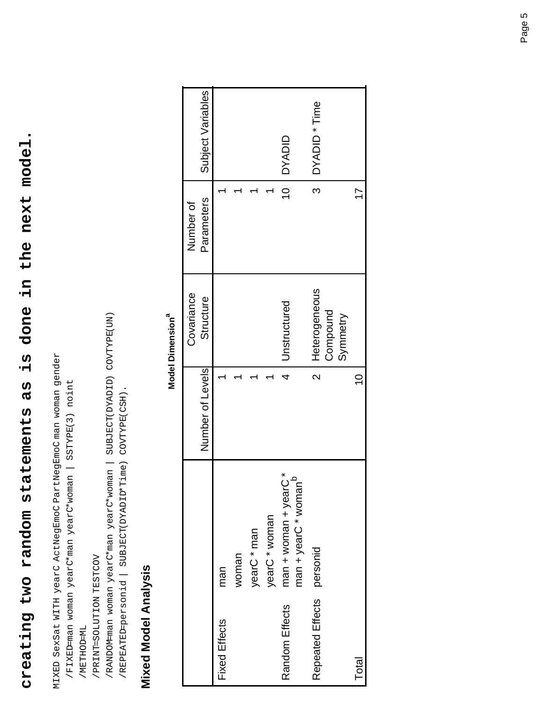# is done in the next model. **creating two random statements as is done in the next model.** creating two random statements as

MIXED SexSat WITH yearC ActNegEmoC PartNegEmoC man woman gender MIXED SexSat WITH yearC ActNegEmoC PartNegEmoC man woman gender

 /FIXED=man woman yearC\*man yearC\*woman | SSTYPE(3) noint /FIXED=man woman yearC\*man yearC\*woman | SSTYPE(3) noint

 /METHOD=ML /METHOD=ML

 /PRINT=SOLUTION TESTCOV /PRINT=SOLUTION TESTCOV

 /RANDOM=man woman yearC\*man yearC\*woman | SUBJECT(DYADID) COVTYPE(UN) /RANDOM-man woman yearC\*man yearC\*woman | SUBJECT(DYADID) COVTYPE(UN)

/REPEATED-personid | SUBJECT(DYADID\*Time) COVTYPE(CSH). /REPEATED=personid | SUBJECT(DYADID\*Time) COVTYPE(CSH).

# **Mixed Model Analysis Mixed Model Analysis**

#### **Model Dimension**<sup>a</sup> **Model Dimensiona**

|                      |                                                         | Number of Levels        | Covariance<br>Structure | Parameters<br>Number of | Subject Variables |
|----------------------|---------------------------------------------------------|-------------------------|-------------------------|-------------------------|-------------------|
|                      |                                                         |                         |                         |                         |                   |
| <b>Fixed Effects</b> | man                                                     |                         |                         |                         |                   |
|                      | woman                                                   |                         |                         |                         |                   |
|                      | yearC * man                                             |                         |                         |                         |                   |
|                      | yearC * woman                                           |                         |                         |                         |                   |
| Random Effects       | ×<br>Ω<br>man + woman + yearC<br>$man + yearC * womanc$ | 4                       | Unstructured            | 10 <sub>1</sub>         | <b>DYADID</b>     |
|                      |                                                         |                         |                         |                         |                   |
| Repeated Effects     | personid                                                | $\overline{\mathsf{C}}$ | Heterogeneous           | $\frac{1}{3}$           | DYADID * Time     |
|                      |                                                         |                         | Compound<br>Symmetry    |                         |                   |
| Total                |                                                         | $\overline{C}$          |                         | 17                      |                   |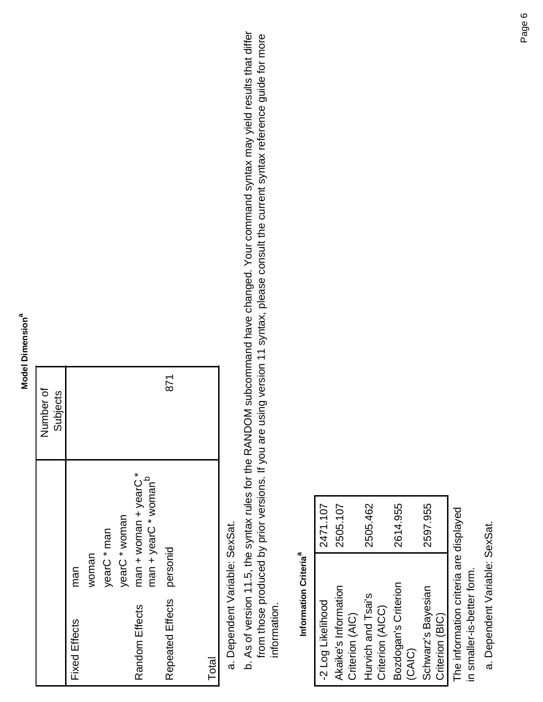#### **Model Dimension**<sup>a</sup> **Model Dimensiona**

|                      |                                  | Number of |
|----------------------|----------------------------------|-----------|
|                      |                                  | Subjects  |
| <b>Fixed Effects</b> | man                              |           |
|                      | woman                            |           |
|                      | yearC * man                      |           |
|                      | yearC * woman                    |           |
| Random Effects       | man + woman + year <sup>*</sup>  |           |
|                      | man + yearC * woman <sup>b</sup> |           |
| Repeated Effects     | personid                         | 871       |
|                      |                                  |           |
| Total                |                                  |           |

# Dependent Variable: SexSat. a. Dependent Variable: SexSat.

As of version 11.5, the syntax rules for the RANDOM subcommand have changed. Your command syntax may yield results that differ b. As of version 11.5, the syntax rules for the RANDOM subcommand have changed. Your command syntax may yield results that differ from those produced by prior versions. If you are using version 11 syntax, please consult the current syntax reference guide for more from those produced by prior versions. If you are using version 11 syntax, please consult the current syntax reference guide for more information. information.

#### Information Criteria<sup>a</sup> **Information Criteriaa**

| -2 Log Likelihood    | 2471.107 |
|----------------------|----------|
| Akaike's Information | 2505.107 |
| Criterion (AIC)      |          |
| Hurvich and Tsai's   | 2505.462 |
| Criterion (AICC)     |          |
| Bozdogan's Criterion | 2614.955 |
| (CAIC)               |          |
| Schwarz's Bayesian   | 2597.955 |
| Criterion (BIC)      |          |
|                      |          |

The information criteria are displayed The information criteria are displayed in smaller-is-better form. in smaller-is-better form.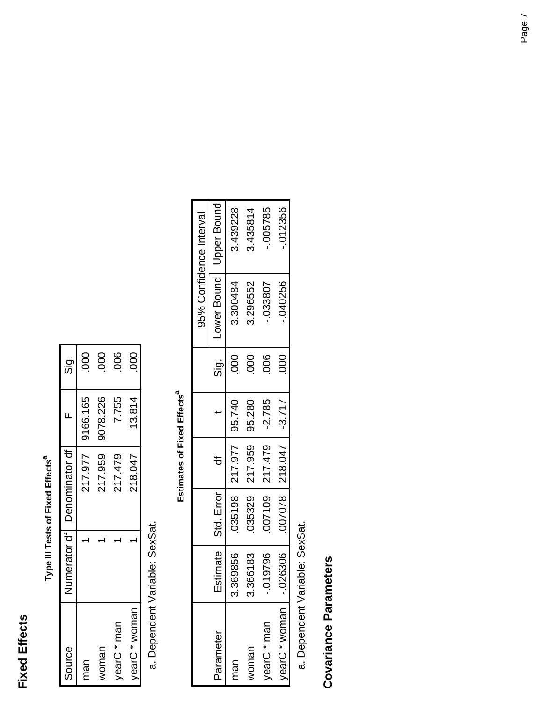#### **Fixed Effects Fixed Effects**

| ı                     |
|-----------------------|
|                       |
| ۱                     |
| ı<br>p<br>ń<br>ı<br>ı |

| Source        | Numerator df   Denominator df |          | $\frac{1}{5}$   |
|---------------|-------------------------------|----------|-----------------|
| man           | 217.977                       | 9166.165 | 000             |
| voman         | 217.959                       | 9078.226 | 800             |
| vearC * man   | 217.479                       | 7.755    | 006             |
| vearC * woman | 218.047                       | 13.814   | $\overline{0}0$ |

Dependent Variable: SexSat. a. Dependent Variable: SexSat.

## Estimates of Fixed Effects<sup>a</sup> **Estimates of Fixed Effects<sup>a</sup>**

|               |          |                       |                             |           |                 |                           | 95% Confidence Interval |
|---------------|----------|-----------------------|-----------------------------|-----------|-----------------|---------------------------|-------------------------|
| Parameter     |          | Estimate   Std. Error |                             |           | <u>່ອ</u><br>ທີ | Lower Bound   Upper Bound |                         |
| man           | 3.369856 |                       | 035198   217.977            | 95.740    | $\mathsf{SO}$   | 3.300484                  | 3.439228                |
| voman         | 3.366183 |                       | 035329   217.959            | 95.280    | $\overline{5}$  | 3.296552                  | 3.435814                |
| yearC * man   | .019796  |                       | 007109   217.479            | $ -2.785$ | 80              | 033807                    | .005785                 |
| yearC * woman | .026306  |                       | $007078$   218.047   -3.717 |           | 000             | $-040256$                 | $-012356$               |

Dependent Variable: SexSat. a. Dependent Variable: SexSat.

# **Covariance Parameters Covariance Parameters**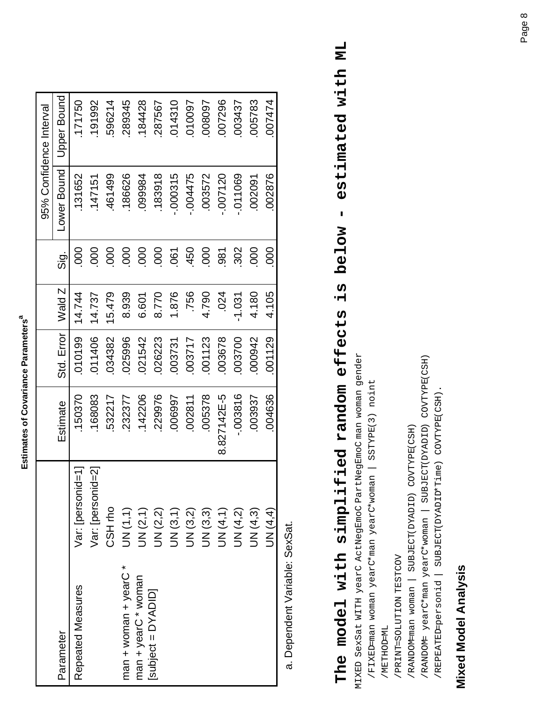| l |
|---|
|   |
| í |

|                            |                   |             |            |          |                           |             | 95% Confidence Interval |
|----------------------------|-------------------|-------------|------------|----------|---------------------------|-------------|-------------------------|
| Parameter                  |                   | Estimate    | Std. Error | Wald Z   | $\frac{\vec{a}}{\vec{b}}$ | Lower Bound | Upper Bound             |
| Repeated Measures          | Var: [personid=1] | 150370      | 010199     | 14.744   | $\overline{000}$          | 131652      | 171750                  |
|                            | Var: [personid=2] | 168083      | 011406     | 14.737   | 000                       | .147151     | 191992                  |
|                            | CSH <sub>ro</sub> | 532217      | 034382     | 15.479   | 000                       | 461499      | 596214                  |
| * C * Year + Year + Figure | UN(1,1)           | 232377      | 025996     | 8.939    | 000                       | 186626      | 289345                  |
| man + yearC * woman        | UN (2,1)          | 142206      | 021542     | 6.601    | 000                       | 099984      | 184428                  |
| Subject = DYADID]          | UN (2,2)          | 229976      | 026223     | 8.770    | 000                       | 183918      | 287567                  |
|                            | UN (3,1)          | 006997      | 003731     | 1.876    | 061                       | $-000315$   | 014310                  |
|                            | <b>JN</b> (3,2)   | 002811      | 003717     | .756     | 450                       | $-004475$   | 010097                  |
|                            | UN (3,3)          | 005378      | 001123     | 4.790    | 000                       | 003572      | 008097                  |
|                            | UN (4,1)          | 8.827142E-5 | 003678     | .024     | $-88$                     | $-007120$   | 007296                  |
|                            | <b>UN (4,2)</b>   | $-003816$   | 003700     | $-1.031$ | 302                       | $-011069$   | 003437                  |
|                            | UN (4,3)          | 003937      | 000942     | 4.180    | 000                       | 002091      | 005783                  |
|                            | <b>JN (4,4)</b>   | 004636      | 001129     | 4.105    | 000                       | 002876      | 007474                  |
|                            |                   |             |            |          |                           |             |                         |

# estimated with ML **The model with simplified random effects is below - estimated with ML** - volow t The model with simplified random effects

MIXED SexSat WITH yearC ActNegEmoC PartNegEmoC man woman gender MIXED SexSat WITH yearC ActNegEmoC PartNegEmoC man woman gender

- /FIXED=man woman yearC\*man yearC\*woman | SSTYPE(3) noint /FIXED=man woman yearC\*man yearC\*woman | SSTYPE(3) noint
	- /METHOD=ML /METHOD=ML
- /PRINT=SOLUTION TESTCOV /PRINT=SOLUTION TESTCOV
- /RANDOM=man woman | SUBJECT(DYADID) COVTYPE(CSH) /RANDOM-man woman | SUBJECT(DYADID) COVTYPE(CSH)
- /RANDOM= yearC\*man yearC\*woman | SUBJECT(DYADID) COVTYPE(CSH) /RANDOM= yearC\*man yearC\*woman | SUBJECT(DYADID) COVTYPE(CSH)
	- /REPEATED-personid | SUBJECT(DYADID\*Time) COVTYPE(CSH). /REPEATED=personid | SUBJECT(DYADID\*Time) COVTYPE(CSH).

# **Mixed Model Analysis Mixed Model Analysis**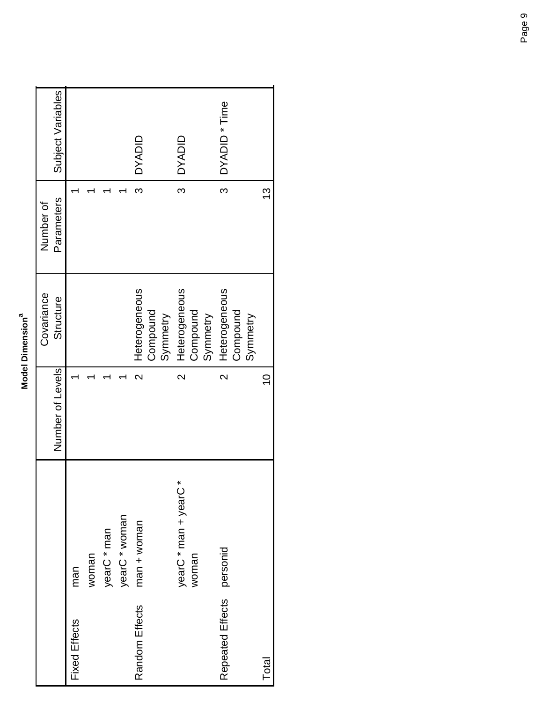| ൹ |
|---|
|   |
|   |
|   |
|   |
|   |
|   |
|   |
|   |
|   |
|   |
|   |
|   |
|   |
|   |
|   |
|   |
|   |
|   |
|   |

|                           |                       |                         | Covariance    | Number of  |                          |
|---------------------------|-----------------------|-------------------------|---------------|------------|--------------------------|
|                           |                       | Number of Levels        | Structure     | Parameters | Subject Variables        |
| <b>Fixed Effects</b>      | man                   |                         |               |            |                          |
|                           | woman                 |                         |               |            |                          |
|                           | yearC * man           |                         |               |            |                          |
|                           | yearC * woman         |                         |               |            |                          |
| Random Effects            | $man + women$         | $\mathsf{\alpha}$       | Heterogeneous | ო          | <b>OYADID</b>            |
|                           |                       |                         | Compound      |            |                          |
|                           |                       |                         | Synmetry      |            |                          |
|                           | yearC * man + yearC * | $\overline{\mathsf{C}}$ | Heterogeneous | ო          | <b>OYADID</b>            |
|                           | woman                 |                         | Compound      |            |                          |
|                           |                       |                         | Synmetry      |            |                          |
| Repeated Effects personid |                       | $\overline{\mathsf{C}}$ | Heterogeneous | ო          | DYADID <sup>*</sup> Time |
|                           |                       |                         | Compound      |            |                          |
|                           |                       |                         | Symmetry      |            |                          |
| Total                     |                       | $\overline{0}$          |               | <u>ო</u>   |                          |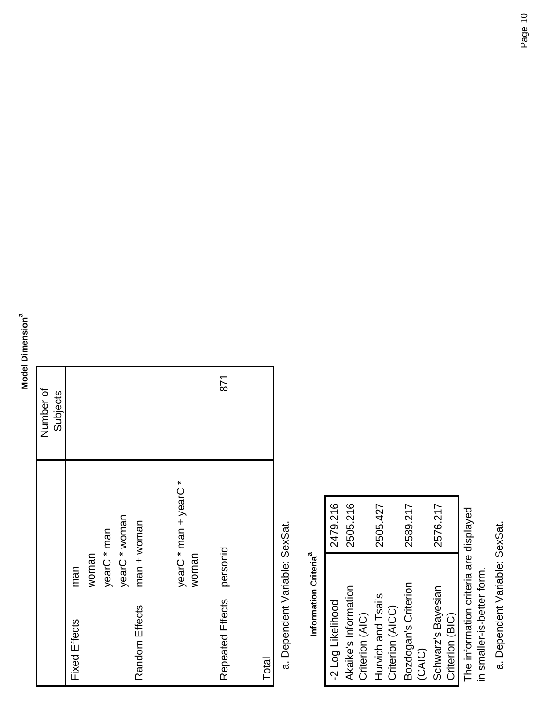#### **Model Dimension<sup>a</sup> Model Dimensiona**

|                      |                       | Number of |  |
|----------------------|-----------------------|-----------|--|
|                      |                       | Subjects  |  |
| <b>Fixed Effects</b> | man                   |           |  |
|                      | woman                 |           |  |
|                      | yearC * man           |           |  |
|                      | yearC * woman         |           |  |
| Random Effects       | $man + women$         |           |  |
|                      |                       |           |  |
|                      | yearC * man + yearC * |           |  |
|                      | woman                 |           |  |
| Repeated Effects     | personid              | 871       |  |
|                      |                       |           |  |
| Total                |                       |           |  |

Dependent Variable: SexSat. a. Dependent Variable: SexSat.

#### Information Criteria<sup>a</sup> **Information Criteriaa**

| -2 Log Likelihood                      | 2479.216 |
|----------------------------------------|----------|
| Akaike's Information                   | 2505.216 |
| Criterion (AIC)                        |          |
| Hurvich and Tsai's                     | 2505.427 |
| Criterion (AICC)                       |          |
| Bozdogan's Criterion                   | 2589.217 |
| (CAIC)                                 |          |
| Schwarz's Bayesian                     | 2576.217 |
| Criterion (BIC)                        |          |
| The information criteria are displayed |          |

The information criteria are displayed in smaller-is-better form. in smaller-is-better form.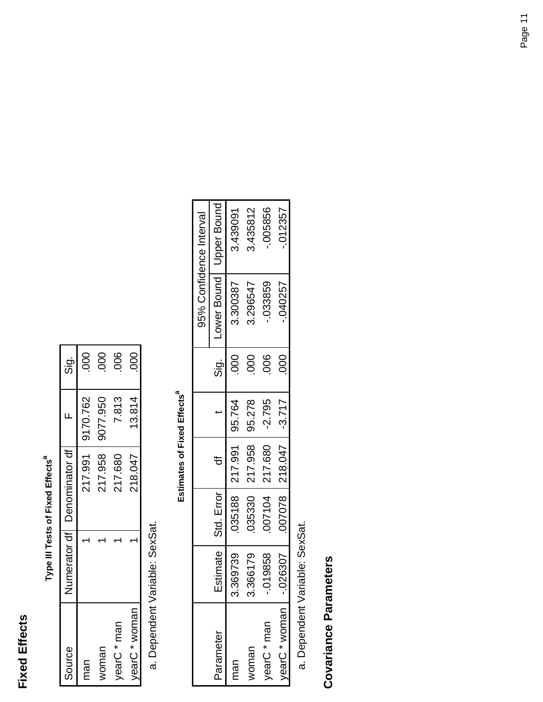#### **Fixed Effects Fixed Effects**

| ť<br>I |
|--------|
| Ş      |
| Ĩ.     |
| Ė<br>l |

| Source                  | Numerator df   Denominator df |                  | <u>ີ່ຕ</u> ໍ່ |
|-------------------------|-------------------------------|------------------|---------------|
| man                     |                               | 217.991 9170.762 | 000           |
| voman                   | 217.958                       | 9077.950         | 80            |
| vearC * man             | 217.680                       | 7.813            | 80            |
| earC <sup>*</sup> woman | 218.047                       | 13.814           | 000           |

Dependent Variable: SexSat. a. Dependent Variable: SexSat.

## Estimates of Fixed Effects<sup>a</sup> **Estimates of Fixed Effects**<sup>a</sup>

|               |             |                       |                             |          |               |                           | 95% Confidence Interval |
|---------------|-------------|-----------------------|-----------------------------|----------|---------------|---------------------------|-------------------------|
| Parameter     |             | Estimate   Std. Error |                             |          | .<br>Sig      | Lower Bound   Upper Bound |                         |
| man           | 369739<br>က |                       | 035188   217.991   95.764   |          | $\frac{1}{2}$ | 3.300387                  | 3.439091                |
| woman         | 366179<br>ო |                       | 035330   217.958   95.278   |          | 80            | 3.296547                  | 3.435812                |
| yearC * man   | 019858      |                       | 007104   217.680            | $-2.795$ | <u>පි</u>     | -.033859                  | .005856                 |
| yearC * woman | .026307     |                       | $007078$   218.047   -3.717 |          | $\frac{0}{0}$ | $-040257$                 | $-012357$               |

Dependent Variable: SexSat. a. Dependent Variable: SexSat.

# **Covariance Parameters Covariance Parameters**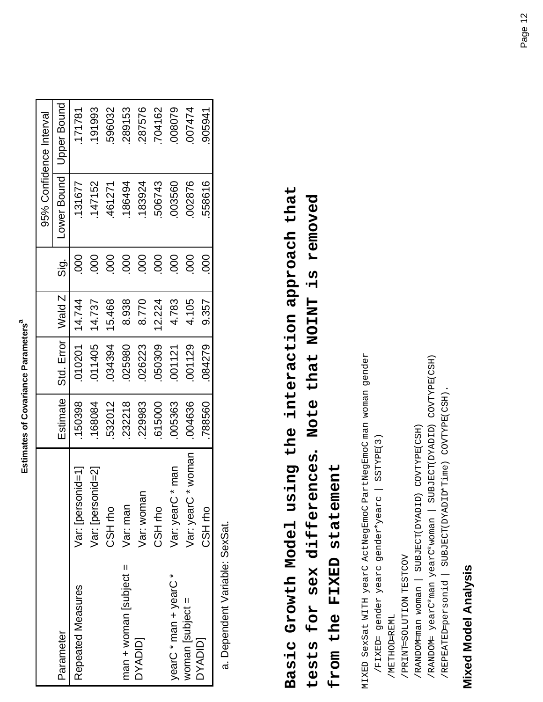| i           |
|-------------|
|             |
|             |
|             |
|             |
|             |
|             |
|             |
| ı           |
| l           |
| I<br>l      |
|             |
| ï           |
|             |
|             |
|             |
|             |
| ı           |
| l<br>ı<br>٠ |
| í           |
| ı           |
|             |
|             |
|             |
|             |
| i           |
| ١           |
|             |
|             |
|             |
|             |
|             |
|             |
|             |
| í           |
|             |
|             |
|             |

| Lower Bound<br>002876<br>558616<br>131677<br>147152<br>183924<br>506743<br>003560<br>186494<br>461271<br>80<br>800<br>800<br>800<br>000<br>000<br>800<br>800<br>000<br>$\frac{1}{5}$<br>Wald Z<br>14.744<br>15.468<br>8.938<br>8.770<br>12.224<br>4.783<br>4.105<br>14.737<br>9.357<br>Std. Error<br>010201<br>011405<br>034394<br>050309<br>001129<br>084279<br>025980<br>026223<br>001121<br><b>Estimate</b><br>150398<br>232218<br>004636<br>229983<br>532012<br>005363<br>788560<br>168084<br>615000<br>woman<br>man,<br>nid=21<br>Var: [personid=1]<br>Var: [persol<br>Var: womar<br>Var: yearC<br>Var: yearC<br>Var: man<br>CSH rho<br>CSH <sub>rho</sub><br>CSH <sub>ro</sub><br>$man + won is subject =$<br>yearC * man + yearC *<br>Repeated Measures<br>woman subject $=$<br>Parameter<br>DYADIDI<br><b>DYADID</b> |  |  |  | 95% Confidence Interval |
|------------------------------------------------------------------------------------------------------------------------------------------------------------------------------------------------------------------------------------------------------------------------------------------------------------------------------------------------------------------------------------------------------------------------------------------------------------------------------------------------------------------------------------------------------------------------------------------------------------------------------------------------------------------------------------------------------------------------------------------------------------------------------------------------------------------------------|--|--|--|-------------------------|
|                                                                                                                                                                                                                                                                                                                                                                                                                                                                                                                                                                                                                                                                                                                                                                                                                              |  |  |  | Upper Bound             |
|                                                                                                                                                                                                                                                                                                                                                                                                                                                                                                                                                                                                                                                                                                                                                                                                                              |  |  |  | 171781                  |
|                                                                                                                                                                                                                                                                                                                                                                                                                                                                                                                                                                                                                                                                                                                                                                                                                              |  |  |  | 191993                  |
|                                                                                                                                                                                                                                                                                                                                                                                                                                                                                                                                                                                                                                                                                                                                                                                                                              |  |  |  | 596032                  |
|                                                                                                                                                                                                                                                                                                                                                                                                                                                                                                                                                                                                                                                                                                                                                                                                                              |  |  |  | 289153                  |
|                                                                                                                                                                                                                                                                                                                                                                                                                                                                                                                                                                                                                                                                                                                                                                                                                              |  |  |  | 287576                  |
|                                                                                                                                                                                                                                                                                                                                                                                                                                                                                                                                                                                                                                                                                                                                                                                                                              |  |  |  | 704162                  |
|                                                                                                                                                                                                                                                                                                                                                                                                                                                                                                                                                                                                                                                                                                                                                                                                                              |  |  |  | 008079                  |
|                                                                                                                                                                                                                                                                                                                                                                                                                                                                                                                                                                                                                                                                                                                                                                                                                              |  |  |  | 007474                  |
|                                                                                                                                                                                                                                                                                                                                                                                                                                                                                                                                                                                                                                                                                                                                                                                                                              |  |  |  | 905941                  |

# **Basic Growth Model using the interaction approach that**  Basic Growth Model using the interaction approach that **tests for sex differences. Note that NOINT is removed**  tests for sex differences. Note that NOINT is removed

**from the FIXED statement**  from the FIXED statement

MIXED SexSat WITH yearC ActNegEmoC PartNegEmoC man woman gender MIXED SexSat WITH yearC ActNegEmoC PartNegEmoC man woman gender /FIXED= gender yearc gender\*yearc | SSTYPE(3) /FIXED= gender yearc gender\*yearc | SSTYPE(3)

 /METHOD=REML /METHOD=REML

 /PRINT=SOLUTION TESTCOV / PRINT=SOLUTION TESTCOV

 /RANDOM=man woman | SUBJECT(DYADID) COVTYPE(CSH) /RANDOM-man woman | SUBJECT(DYADID) COVTYPE(CSH)

 /RANDOM= yearC\*man yearC\*woman | SUBJECT(DYADID) COVTYPE(CSH) /RANDOM= yearC\*man yearC\*woman | SUBJECT(DYADID) COVTYPE(CSH)

/REPEATED-personid | SUBJECT(DYADID\*Time) COVTYPE(CSH). /REPEATED=personid | SUBJECT(DYADID\*Time) COVTYPE(CSH).

# **Mixed Model Analysis Mixed Model Analysis**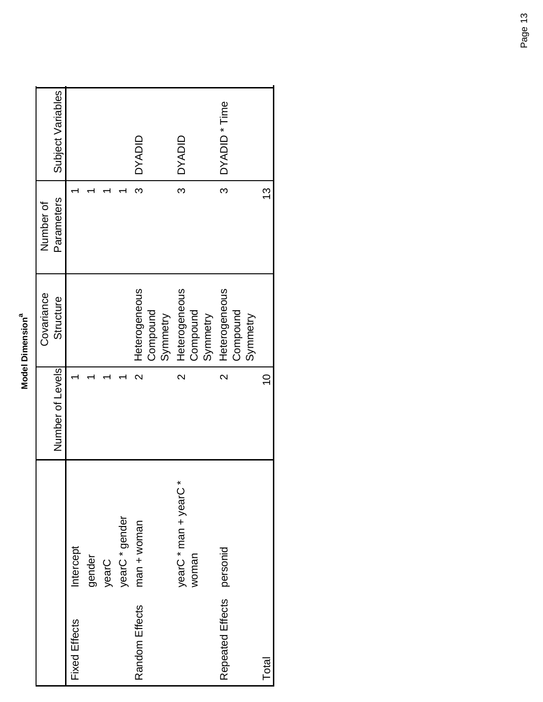| ᡴ |
|---|
|   |
|   |
|   |
|   |
|   |
|   |
|   |
|   |
|   |
|   |
|   |
|   |
|   |
|   |
|   |
|   |
|   |
|   |
|   |
|   |
|   |
|   |

|                      |                       |                         | Covariance    | Number of  |                   |
|----------------------|-----------------------|-------------------------|---------------|------------|-------------------|
|                      |                       | Number of Levels        | Structure     | Parameters | Subject Variables |
| <b>Fixed Effects</b> | Intercept             |                         |               |            |                   |
|                      | gender                |                         |               |            |                   |
|                      | yearC                 |                         |               |            |                   |
|                      | yearC * gender        |                         |               |            |                   |
| Random Effects       | $man + women$         | $\mathbf{\Omega}$       | Heterogeneous | ო          | <b>OVADID</b>     |
|                      |                       |                         | Compound      |            |                   |
|                      |                       |                         | Synmetry      |            |                   |
|                      | yearC * man + yearC * | $\overline{\mathsf{C}}$ | Heterogeneous | က          | <b>OYADID</b>     |
|                      | woman                 |                         | Compound      |            |                   |
|                      |                       |                         | Symmetry      |            |                   |
| Repeated Effects     | personid              | $\overline{\mathsf{C}}$ | Heterogeneous | က          | DYADID * Time     |
|                      |                       |                         | Compound      |            |                   |
|                      |                       |                         | Symmetry      |            |                   |
| Total                |                       | $\overline{0}$          |               | <u>ვ</u>   |                   |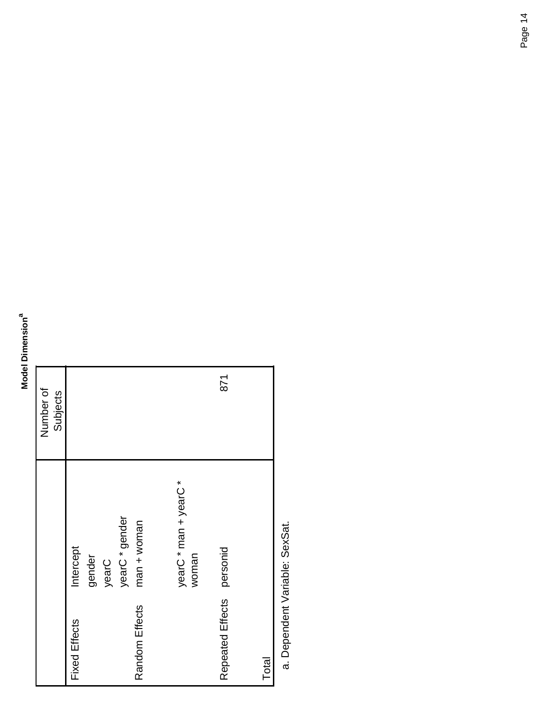#### **Model Dimension<sup>a</sup> Model Dimensiona**

|                      |                       | Number of |
|----------------------|-----------------------|-----------|
|                      |                       | Subjects  |
| <b>Fixed Effects</b> | Intercept             |           |
|                      | gender                |           |
|                      | yearC                 |           |
|                      | yearC * gender        |           |
| Random Effects       | $man + women$         |           |
|                      |                       |           |
|                      | yearC * man + yearC * |           |
|                      | woman                 |           |
| Repeated Effects     |                       | 871       |
|                      | personid              |           |
|                      |                       |           |
| Total                |                       |           |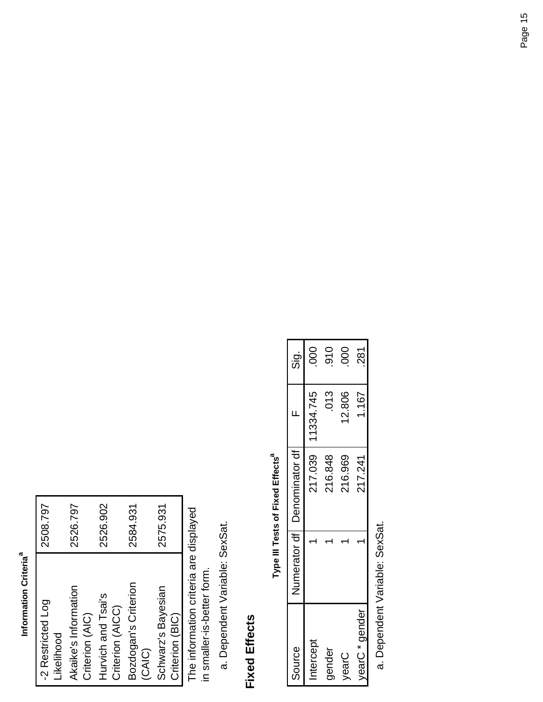#### Information Criteria<sup>a</sup> **Information Criteriaa**

| -2 Restricted Log<br>Likelihood         | 2508.797 |
|-----------------------------------------|----------|
| Akaike's Information<br>Criterion (AIC) | 2526.797 |
| Hurvich and Tsai's<br>Criterion (AICC)  | 2526.902 |
| Bozdogan's Criterion<br>(CAIC)          | 2584.931 |
| Schwarz's Bayesian<br>Criterion (BIC)   | 2575.931 |

The information criteria are displayed<br>in smaller-is-better form. The information criteria are displayed in smaller-is-better form.

Dependent Variable: SexSat. a. Dependent Variable: SexSat.

#### **Fixed Effects Fixed Effects**

Type III Tests of Fixed Effects<sup>a</sup> **Type III Tests of Fixed Effects** 

| Source         | Numerator df   Denominator df |           | <u>່ອ່</u>    |
|----------------|-------------------------------|-----------|---------------|
| ntercept       | 217.039                       | 11334.745 | 000           |
| gender         | 216.848                       | 013       | $\frac{0}{9}$ |
| VearC          | 216.969                       | 12.806    | 800           |
| vearC * gender | 217.241                       | 1.167     | 281           |
|                |                               |           |               |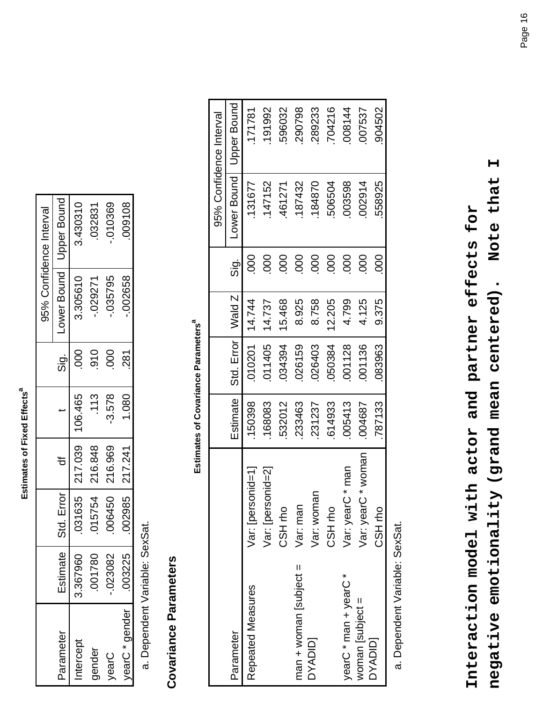Estimates of Fixed Effects<sup>a</sup> **Estimates of Fixed Effects<sup>a</sup>** 

|                |          |            |                    |          |               |          | 95% Confidence Interval  |
|----------------|----------|------------|--------------------|----------|---------------|----------|--------------------------|
| Parameter      | Estimate | Std. Error |                    |          | <u>່ອ່</u>    |          | ower Bound   Upper Bound |
| ntercep        | 3.367960 |            | 031635   217.039   | 106.465  | 000           | 3.305610 | 3.430310                 |
| gender         | J1780    |            | 015754   216.848   | .113     | $\frac{0}{9}$ | .029271  | 032831                   |
| VearC          | 23082    |            | 006450 216.969     | $-3.578$ | $\rm{SO}$     | .035795  | .010369                  |
| yearC * gender | 03225    |            | $002985$   217.241 | 1.080    | 281           | .002658  | 009108                   |

Dependent Variable: SexSat. a. Dependent Variable: SexSat.

# Covariance Parameters **Covariance Parameters**

Estimates of Covariance Parameters<sup>a</sup> **Estimates of Covariance Parameters**<sup>a</sup>

|                             |                          |          |            |        |                 |             | 95% Confidence Interval |
|-----------------------------|--------------------------|----------|------------|--------|-----------------|-------------|-------------------------|
| Parameter                   |                          | Estimate | Std. Error | Wald Z | <u>ອ່</u>       | Lower Bound | Upper Bound             |
| Repeated Measures           | $n$ id=1<br>Var: [persol | 150398   | 010201     | 14.744 | 000             | 131677      | 171781                  |
|                             | nid=21<br>Var: [persor   | 168083   | 011405     | 14.737 | 80              | 147152      | 191992                  |
|                             | CSH <sub>ro</sub>        | 532012   | 034394     | 15.468 | 80              | 461271      | 596032                  |
| $man$ = man + woman subject | Var: man                 | 233463   | 026159     | 8.925  | 80              | 187432      | 290798                  |
| <b>DYADID</b>               | Var: womar               | 231237   | 026403     | 8.758  | 000             | 184870      | 289233                  |
|                             | CSH <sub>rho</sub>       | 614933   | 050384     | 12.205 | 000             | 506504      | 704216                  |
| yearC * man + yearC *       | man<br>×<br>Var: yearC   | 005413   | 001128     | 4.799  | 80              | 003598      | 008144                  |
| woman [subject =            | woman<br>Var: yearC      | 004687   | 001136     | 4.125  | 800             | 002914      | 007537                  |
| <b>DYADID</b>               | CSH <sub>rho</sub>       | 787133   | 083963     | 9.375  | $\overline{0}0$ | 558925      | 904502                  |

Dependent Variable: SexSat. a. Dependent Variable: SexSat.

**negative emotionality (grand mean centered). Note that I**  Note that I **Interaction model with actor and partner effects for**  Interaction model with actor and partner effects for negative emotionality (grand mean centered).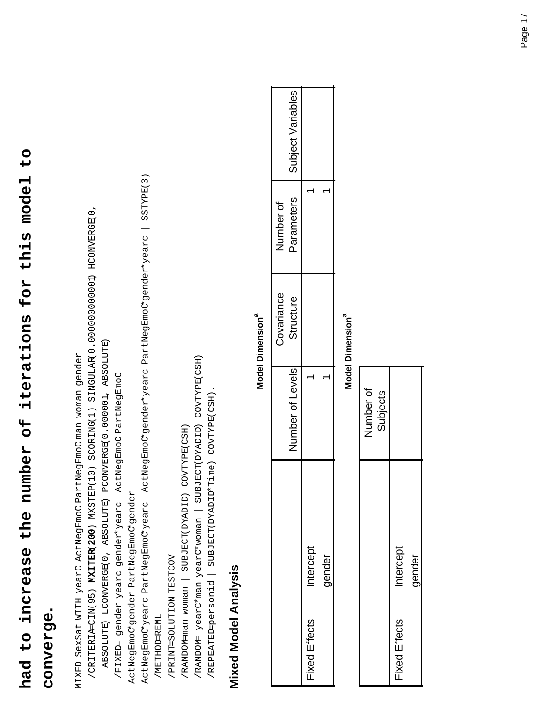# **had to increase the number of iterations for this model to**  had to increase the number of iterations for this model to

#### **converge.**  converge.

MIXED SexSat WITH yearC ActNegEmoC PartNegEmoC man woman gender MIXED SexSat WITH yearC ActNegEmoC PartNegEmoC man woman gender

 /CRITERIA=CIN(95) **MXITER(200)** MXSTEP(10) SCORING(1) SINGULAR(0.000000000001) HCONVERGE(0, /CRITERIA=CIN(95) MXITER(200) MXSTEP(10) SCORING(1) SINGULAR(0.0000000000001) HCONVERGE(0,

 ABSOLUTE) LCONVERGE(0, ABSOLUTE) PCONVERGE(0.000001, ABSOLUTE) ABSOLUTE) LCONVERGE(0, ABSOLUTE) PCONVERGE(0.000001, ABSOLUTE)

/FIXED= gender yearc gender\*yearc ActNegEmoC PartNegEmoC /FIXED= gender yearc gender\*yearc ActNegEmoC PartNegEmoC

 ActNegEmoC\*gender PartNegEmoC\*gender ActNegEmoC\*gender PartNegEmoC\*gender

 ActNegEmoC\*yearc PartNegEmoC\*yearc ActNegEmoC\*gender\*yearc PartNegEmoC\*gender\*yearc | SSTYPE(3) ActNegEmoCyearc PartNegEmoCyearc ActNegEmoCgender\*yearc PartNegEmoCgender\*yearc | SSTYPE(3) /METHOD=REML /METHOD=REML

 /PRINT=SOLUTION TESTCOV /PRINT=SOLUTION TESTCOV

 /RANDOM=man woman | SUBJECT(DYADID) COVTYPE(CSH) /RANDOM-man woman | SUBJECT(DYADID) COVTYPE(CSH)

 /RANDOM= yearC\*man yearC\*woman | SUBJECT(DYADID) COVTYPE(CSH) /RANDOM= yearC\*man yearC\*woman | SUBJECT(DYADID) COVTYPE(CSH)

/REPEATEDersonid | SUBJECT(DYADID\*Time) COVTYPE(CSH). /REPEATED=personid | SUBJECT(DYADID\*Time) COVTYPE(CSH).

# **Mixed Model Analysis Mixed Model Analysis**

#### **Model Dimension<sup>a</sup> Model Dimensiona**

|               |          | Number of Levels | Covariance<br>Structure | Parameters<br>dumber of | Subject Variables |
|---------------|----------|------------------|-------------------------|-------------------------|-------------------|
| Fixed Effects | ntercept |                  |                         |                         |                   |
|               | qender   |                  |                         |                         |                   |
|               |          |                  |                         |                         |                   |

#### **Model Dimension<sup>a</sup> Model Dimensiona**

|               |           | Number of<br>Subjects |
|---------------|-----------|-----------------------|
| Fixed Effects | Intercept |                       |
|               | qender    |                       |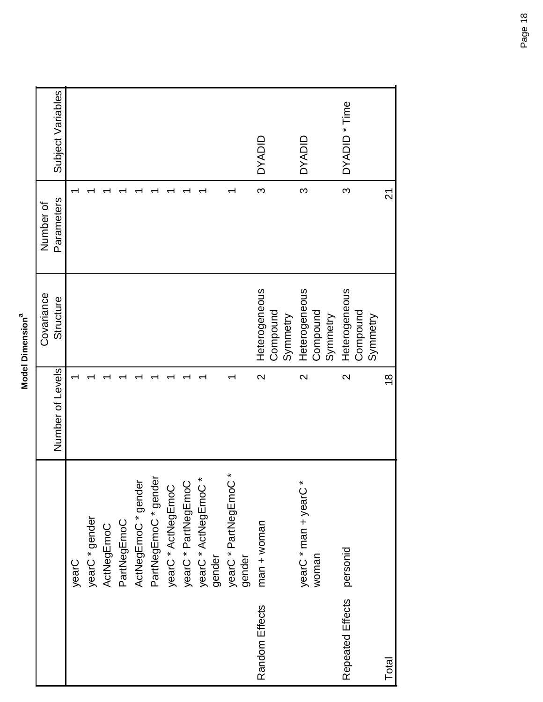| ω |  |
|---|--|
|   |  |
|   |  |
| ٠ |  |
|   |  |
|   |  |
|   |  |
|   |  |
|   |  |
|   |  |
|   |  |
|   |  |
|   |  |
|   |  |
|   |  |
|   |  |
|   |  |
|   |  |

| yearC                        |                       | Number of Levels  | Structure     | Parameters | Subject Variables |
|------------------------------|-----------------------|-------------------|---------------|------------|-------------------|
|                              |                       |                   |               |            |                   |
|                              | yearC * gender        |                   |               |            |                   |
|                              | ActNegEmoC            |                   |               |            |                   |
|                              | PartNegEmoC           |                   |               |            |                   |
|                              | ActNegEmoC*gender     |                   |               |            |                   |
|                              | PartNegEmoC * gender  |                   |               |            |                   |
|                              | yearC * ActNegEmoC    |                   |               |            |                   |
|                              | yearC * PartNegEmoC   |                   |               |            |                   |
|                              | yearC * ActNegEmoC *  |                   |               |            |                   |
| gender                       |                       |                   |               |            |                   |
|                              | yearC * PartNegEmoC * |                   |               |            |                   |
| gender                       |                       |                   |               |            |                   |
| Random Effects               | $man + woman$         | $\mathbf{\Omega}$ | Heterogeneous | S          | <b>UNAND</b>      |
|                              |                       |                   | Compound      |            |                   |
|                              |                       |                   | Symmetry      |            |                   |
|                              | yearC * man + yearC * | $\mathbf{\Omega}$ | Heterogeneous | S          | <b>UNAYO</b>      |
| woman                        |                       |                   | Compound      |            |                   |
|                              |                       |                   | Symmetry      |            |                   |
| personid<br>Repeated Effects |                       | $\sim$            | Heterogeneous | ო          | DYADID * Time     |
|                              |                       |                   | Compound      |            |                   |
|                              |                       |                   | Symmetry      |            |                   |
| Total                        |                       | $\frac{8}{1}$     |               | 21         |                   |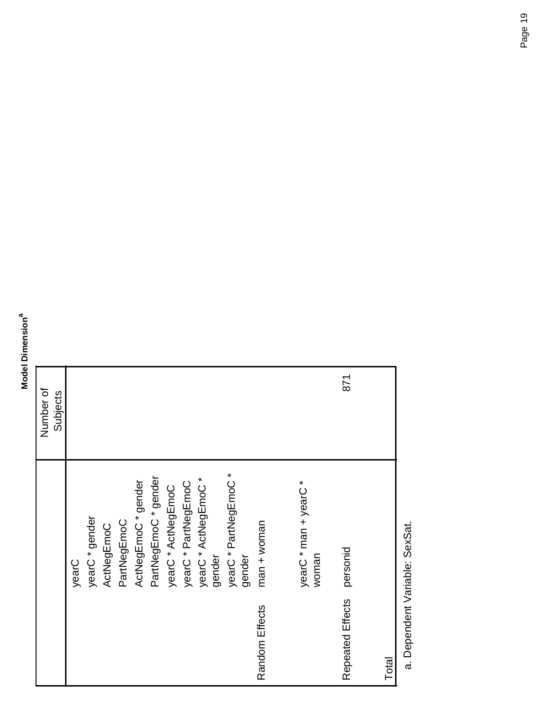#### **Model Dimension**<sup>a</sup> **Model Dimensiona**

|                  |                                 | Number of |
|------------------|---------------------------------|-----------|
|                  |                                 | Subjects  |
|                  | yearC                           |           |
|                  | yearC * gender                  |           |
|                  | ActNegEmoC                      |           |
|                  | PartNegEmoC                     |           |
|                  | ActNegEmoC * gender             |           |
|                  | PartNegEmoC * gender            |           |
|                  | yearC * ActNegEmoC              |           |
|                  | yearC * PartNegEmoC             |           |
|                  | yearC * ActNegEmoC *<br>gender  |           |
|                  | yearC * PartNegEmoC *<br>gender |           |
| Random Effects   | $man + woman$                   |           |
|                  |                                 |           |
|                  | yearC * man + yearC *<br>woman  |           |
|                  |                                 |           |
| Repeated Effects | personid                        | 871       |
|                  |                                 |           |
| Total            |                                 |           |
|                  |                                 |           |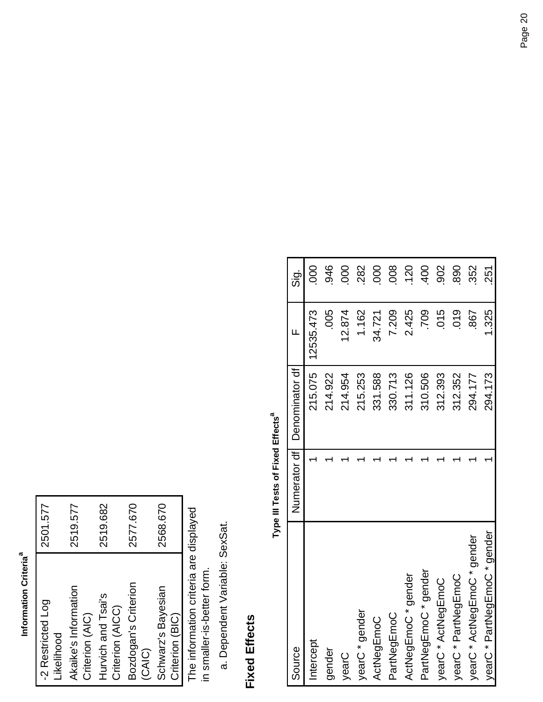#### Information Criteria<sup>a</sup> **Information Criteriaa**

| -2 Restricted Log    | 2501.577 |
|----------------------|----------|
| Likelihood           |          |
| Akaike's Information | 2519.577 |
| Criterion (AIC)      |          |
| Hurvich and Tsai's   | 2519.682 |
| Criterion (AICC)     |          |
| Bozdogan's Criterion | 2577.670 |
| <b>CAIC</b>          |          |
| Schwarz's Bayesian   | 2568.670 |
| Criterion (BIC)      |          |

The information criteria are displayed<br>in smaller-is-better form. The information criteria are displayed in smaller-is-better form.

Dependent Variable: SexSat. a. Dependent Variable: SexSat.

#### **Fixed Effects Fixed Effects**

# Type III Tests of Fixed Effects<sup>a</sup> **Type III Tests of Fixed Effects**

| Source                       | Numerator of Denominator of | Щ         | Sig.          |
|------------------------------|-----------------------------|-----------|---------------|
| Intercept                    | 215.075                     | 12535.473 | $\frac{0}{0}$ |
| gender                       | 214.922                     | .005      | 946           |
| yearC                        | 214.954                     | 12.874    | 000           |
| yearC * gender               | 215.253                     | 1.162     | 282           |
| ActNegEmoC                   | 331.588                     | 34.721    | 000           |
| PartNegEmoC                  | 330.713                     | 7.209     | 008           |
| ActNegEmoC * gender          | 311.126                     | 2.425     | 120           |
| PartNegEmoC * gender         | 310.506                     | 709       | $-400$        |
| yearC * ActNegEmoC           | 312.393                     | .015      | 902           |
| yearC * PartNegEmoC          | 312.352                     | 019       | 890           |
| yearC * ActNegEmoC * gender  | 294.177                     | .867      | 352           |
| yearC * PartNegEmoC * gender | 294.173                     | 1.325     | 251           |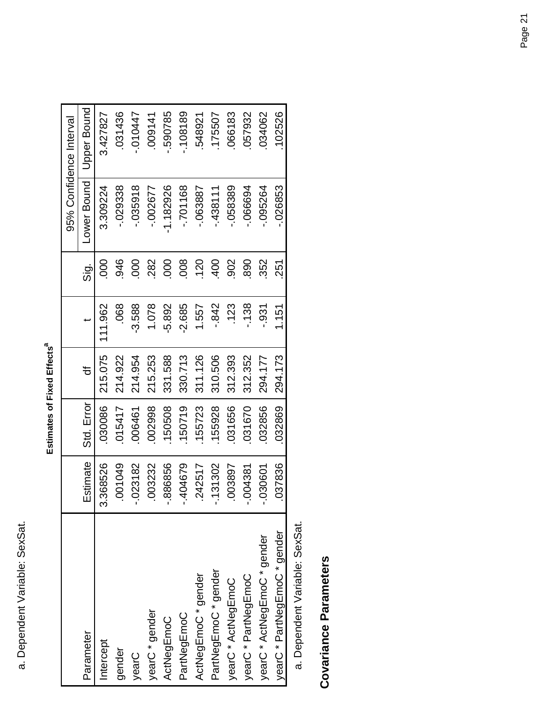| Ľ           |
|-------------|
|             |
| !<br>ı<br>ï |
| ı<br>Ċ      |
|             |
|             |

|                              |                          |            |         |            |                 |             | 95% Confidence Interval |
|------------------------------|--------------------------|------------|---------|------------|-----------------|-------------|-------------------------|
| Parameter                    | Estimate                 | Std. Error | ৳       |            | $\frac{1}{5}$   | Lower Bound | <b>Upper Bound</b>      |
| Intercept                    | 868526<br>ი<br>ა         | 030086     | 215.075 | 111.962    | $\overline{0}0$ | 3.309224    | 3.427827                |
| gender                       | 01049                    | 015417     | 214.922 | .068       | 946             | -.029338    | 031436                  |
| yearC                        | $-023182$                | 006461     | 214.954 | $-3.588$   | 000             | $-035918$   | -.010447                |
| yearC * gender               | 03232                    | 002998     | 215.253 | 1.078      | 282             | $-002677$   | 009141                  |
| ActNegEmoC                   | 86856<br>ထု              | 150508     | 331.588 | $-5.892$   | 000             | $-1.182926$ | -.590785                |
| PartNegEmoC                  | <b>PO4679</b><br>प.<br>' | 150719     | 330.713 | $-2.685$   | 008             | $-701168$   | $-108189$               |
| ActNegEmoC * gender          | 142517<br>Ņ              | 155723     | 311.126 | 1.557      | 120             | -.063887    | 548921                  |
| PartNegEmoC * gender         | 31302                    | 155928     | 310.506 | $-0.842$   | 400             | $-438111$   | 175507                  |
| yearC * ActNegEmoC           | 03897                    | 031656     | 312.393 | <b>123</b> | 902             | -.058389    | 066183                  |
| yearC * PartNegEmoC          | $-004381$                | 031670     | 312.352 | $-138$     | 890             | $-066694$   | 057932                  |
| yearC * ActNegEmoC * gender  | 130601<br>ှ              | 032856     | 294.177 | $-931$     | 352             | -.095264    | 034062                  |
| yearC * PartNegEmoC * gender | 37836                    | 032869     | 294.173 | 1.151      | 251             | .026853     | 102526                  |
|                              |                          |            |         |            |                 |             |                         |

**Covariance Parameters Covariance Parameters**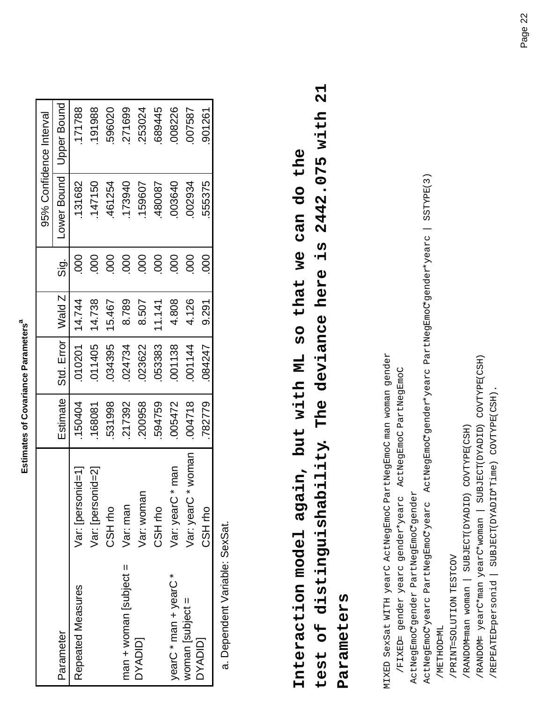| t<br>í      |
|-------------|
|             |
|             |
|             |
|             |
|             |
|             |
|             |
| ı           |
|             |
| I           |
| ı           |
| ï           |
|             |
|             |
|             |
|             |
|             |
| ı<br>í<br>r |
|             |
|             |
|             |
|             |
|             |
|             |
|             |
| i           |
| ١           |
|             |
|             |
|             |
|             |
|             |
|             |
|             |
| í           |
|             |
|             |
|             |

|                             |                        |          |            |        |                      |             | 95% Confidence Interval |
|-----------------------------|------------------------|----------|------------|--------|----------------------|-------------|-------------------------|
| Parameter                   |                        | Estimate | Std. Error | Wald Z | $\frac{1}{\sqrt{2}}$ | Lower Bound | <b>Upper Bound</b>      |
| Repeated Measures           | Var: [personid=1]      | 150404   | 010201     | 14.744 | 000                  | 131682      | 171788                  |
|                             | nid=21<br>Var: [persor | 168081   | 011405     | 14.738 | 000                  | 147150      | 191988                  |
|                             | CSH <sub>ro</sub>      | 531998   | 034395     | 15.467 | 000                  | 461254      | 596020                  |
| $man$ = man + woman subject | Var: man               | 217392   | 024734     | 8.789  | 800                  | 173940      | 271699                  |
| <b>DYADID</b>               | Var: womar             | 200958   | 023622     | 8.507  | 000                  | 159607      | 253024                  |
|                             | CSH <sub>rho</sub>     | 594759   | 053383     | 11.141 | 000                  | 480087      | 689445                  |
| yearC * man + yearC *       | man<br>Var: yearC      | 005472   | 001138     | 4.808  | 800                  | 003640      | 008226                  |
| woman [subject =            | woman<br>Var: yearC    | 004718   | 001144     | 4.126  | 000                  | 002934      | 007587                  |
| <b>DYADID</b>               | CSH rho                | 782779   | 084247     | 9.291  | 800                  | 555375      | 901261                  |
|                             |                        |          |            |        |                      |             |                         |

# **test of distinguishability. The deviance here is 2442.075 with 21**  test of distinguishability. The deviance here is 2442.075 with 21 **Interaction model again, but with ML so that we can do the**  Interaction model again, but with ML so that we can do the **Parameters**  Parameters

MIXED SexSat WITH yearC ActNegEmoC PartNegEmoC man woman gender MIXED SexSat WITH yearC ActNegEmoC PartNegEmoC man woman gender

/FIXED= gender yearc gender\*yearc ActNegEmoC PartNegEmoC /FIXED= gender yearc gender\*yearc ActNegEmoC PartNegEmoC

 ActNegEmoC\*gender PartNegEmoC\*gender ActNegEmoC\*gender PartNegEmoC\*gender

 ActNegEmoC\*yearc PartNegEmoC\*yearc ActNegEmoC\*gender\*yearc PartNegEmoC\*gender\*yearc | SSTYPE(3) ActNegEmoCyearc PartNegEmoCyearc ActNegEmoCygender\*yearc PartNegEmoCygender\*yearc | SSTYPE(3) /METHOD=ML /METHOD=ML

 /PRINT=SOLUTION TESTCOV /PRINT=SOLUTION TESTCOV

 /RANDOM=man woman | SUBJECT(DYADID) COVTYPE(CSH) /RANDOM-man woman | SUBJECT(DYADID) COVTYPE(CSH)

 /RANDOM= yearC\*man yearC\*woman | SUBJECT(DYADID) COVTYPE(CSH) /RANDOM= yearC\*man yearC\*woman | SUBJECT(DYADID) COVTYPE(CSH)

/REPEATEDersonid | SUBJECT(DYADID\*Time) COVTYPE(CSH). /REPEATED=personid | SUBJECT(DYADID\*Time) COVTYPE(CSH).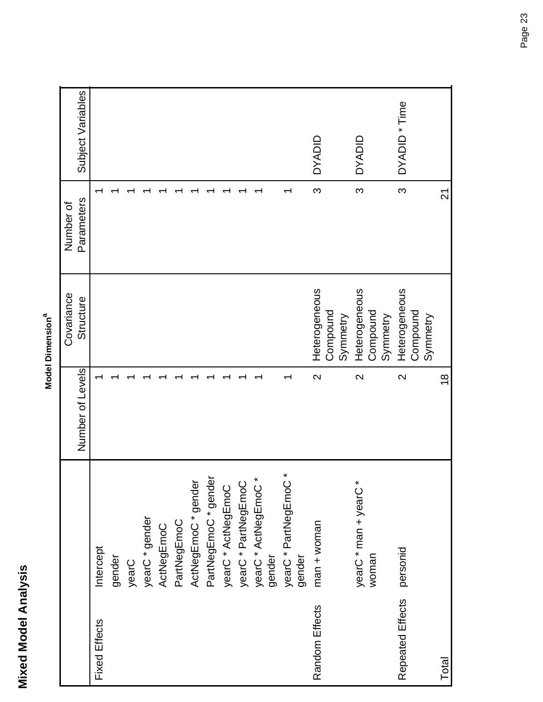| ω |   |
|---|---|
|   |   |
| Č | ı |
|   |   |
| ć | j |
| ٢ |   |
|   |   |
|   |   |
| Ξ |   |
|   |   |
|   |   |
|   | í |
|   |   |
|   |   |
|   |   |
|   | E |
|   |   |
|   |   |

|                      |                          |                   | Covariance    | Number of      |                   |
|----------------------|--------------------------|-------------------|---------------|----------------|-------------------|
|                      |                          | Number of Levels  | Structure     | Parameters     | Subject Variables |
| <b>Fixed Effects</b> | Intercept                |                   |               |                |                   |
|                      | gender                   |                   |               |                |                   |
|                      | yearC                    |                   |               |                |                   |
|                      | yearC * gender           |                   |               |                |                   |
|                      | ActNegEmoC               |                   |               |                |                   |
|                      | PartNegEmoC              |                   |               |                |                   |
|                      | ActNegEmoC * gender      |                   |               |                |                   |
|                      | PartNegEmoC * gender     |                   |               |                |                   |
|                      | yearC * ActNegEmoC       |                   |               |                |                   |
|                      | yearC * PartNegEmoC      |                   |               |                |                   |
|                      | yearC * ActNegEmoC *     |                   |               |                |                   |
|                      | gender                   |                   |               |                |                   |
|                      | ×<br>yearC * PartNegEmoC |                   |               |                |                   |
|                      | gender                   |                   |               |                |                   |
| Random Effects       | $man + women$            | $\mathbf{\Omega}$ | Heterogeneous | က              | <b>UNAYO</b>      |
|                      |                          |                   | Compound      |                |                   |
|                      |                          |                   | Symmetry      |                |                   |
|                      | yearC * man + yearC *    | $\mathbf{\Omega}$ | Heterogeneous | က              | <b>UNAYO</b>      |
|                      | woman                    |                   | Compound      |                |                   |
|                      |                          |                   | Symmetry      |                |                   |
| Repeated Effects     | personid                 | $\mathbf{\Omega}$ | Heterogeneous | က              | DYADID * Time     |
|                      |                          |                   | Compound      |                |                   |
|                      |                          |                   | Symmetry      |                |                   |
| Total                |                          | $\frac{8}{1}$     |               | $\overline{2}$ |                   |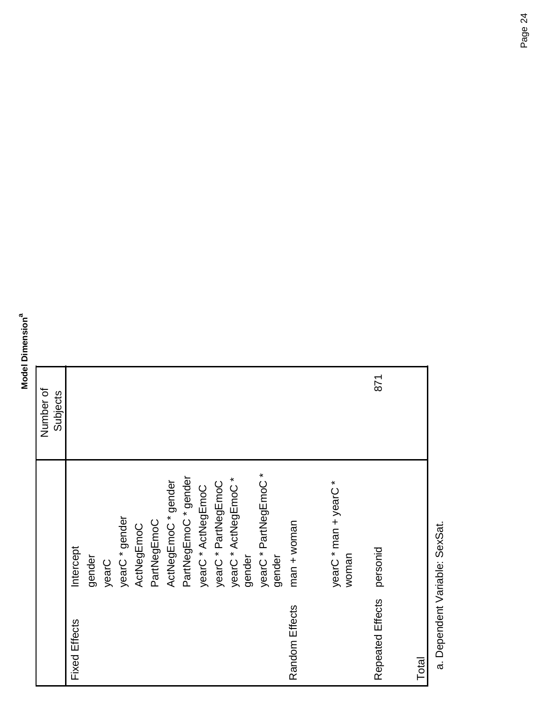#### **Model Dimension**<sup>a</sup> **Model Dimensiona**

|                      |                                 | Number of<br>Subjects |
|----------------------|---------------------------------|-----------------------|
| <b>Fixed Effects</b> | Intercept                       |                       |
|                      | gender                          |                       |
|                      | yearC                           |                       |
|                      | yearC * gender                  |                       |
|                      | ActNegEmoC                      |                       |
|                      | PartNegEmoC                     |                       |
|                      | ActNegEmoC*gender               |                       |
|                      | PartNegEmoC * gender            |                       |
|                      | yearC * ActNegEmoC              |                       |
|                      | yearC * PartNegEmoC             |                       |
|                      | yearC * ActNegEmoC *<br>gender  |                       |
|                      |                                 |                       |
|                      | yearC * PartNegEmoC *<br>gender |                       |
|                      |                                 |                       |
| Random Effects       | $man + woman$                   |                       |
|                      |                                 |                       |
|                      | yearC * man + yearC *           |                       |
|                      | woman                           |                       |
| Repeated Effects     | personid                        | 871                   |
|                      |                                 |                       |
| Total                |                                 |                       |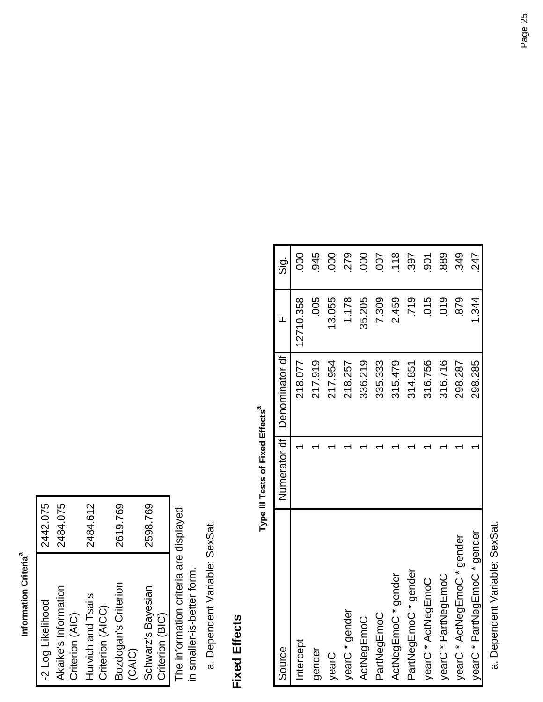#### Information Criteria<sup>a</sup> **Information Criteriaa**

| -2 Log Likelihood    | 2442.075 |
|----------------------|----------|
| Akaike's Information | 2484.075 |
| Criterion (AIC)      |          |
| Hurvich and Tsai's   | 2484.612 |
| Criterion (AICC)     |          |
| Bozdogan's Criterion | 2619.769 |
| <b>CAIC)</b>         |          |
| Schwarz's Bayesian   | 2598.769 |
| Criterion (BIC)      |          |

The information criteria are displayed<br>in smaller-is-better form. The information criteria are displayed in smaller-is-better form.

Dependent Variable: SexSat. a. Dependent Variable: SexSat.

#### **Fixed Effects Fixed Effects**

# Type III Tests of Fixed Effects<sup>a</sup> **Type III Tests of Fixed Effects**

| Source                                         | Numerator df | Denominator df | ц         | $\frac{1}{5}$ |
|------------------------------------------------|--------------|----------------|-----------|---------------|
| Intercept                                      |              | 218.077        | 12710.358 | 000           |
| gender                                         |              | 217.919        | .005      | .945          |
| yearC                                          |              | 217.954        | 13.055    | 800           |
| yearC * gender                                 |              | 218.257        | 1.178     | 279           |
| ActNegEmoC                                     |              | 336.219        | 35.205    | 000           |
| PartNegEmoC                                    |              | 335.333        | 7.309     | 007           |
| ActNegEmoC * gender                            |              | 315.479        | 2.459     | 118           |
| PartNegEmoC* gender                            |              | 314.851        | .719      | 397           |
| yearC * ActNegEmoC                             |              | 316.756        | .015      | 501           |
| yearC * PartNegEmoC                            |              | 316.716        | 019       | 889           |
| yearC * ActNegEmoC * gender                    |              | 298.287        | 879       | 349           |
| yearC * PartNegEmoC * gender                   |              | 298.285        | 1.344     | 247           |
| . Personal and the contract of the contract of |              |                |           |               |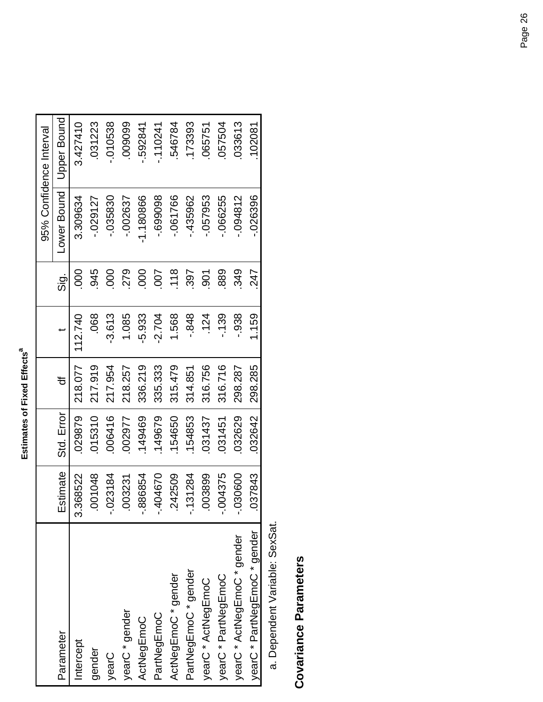Estimates of Fixed Effects<sup>a</sup> **Estimates of Fixed Effects<sup>a</sup>** 

|                              |                   |            |         |          |                |             | 95% Confidence Interval |
|------------------------------|-------------------|------------|---------|----------|----------------|-------------|-------------------------|
| Parameter                    | Estimate          | Std. Error | đ       |          | $\frac{1}{5}$  | Lower Bound | Upper Bound             |
| Intercept                    | 3.368522          | 029879     | 218.077 | 112.740  | $\frac{8}{2}$  | 3.309634    | 3.427410                |
| gender                       | 001048            | 015310     | 217.919 | .068     | 945            | $-029127$   | 031223                  |
| yearC                        | 023184<br>ب<br>آ  | 006416     | 217.954 | $-3.613$ | 000            | -.035830    | $-010538$               |
| yearC * gender               | .003231           | 002977     | 218.257 | 1.085    | 279            | -.002637    | 009099                  |
| ActNegEmoC                   | 386854<br>بہ<br>آ | 149469     | 336.219 | 5.933    | 000            | $-1.180866$ | $-592841$               |
| PartNegEmoC                  | -.404670          | 149679     | 335.333 | $-2.704$ | 500            | -.699098    | $-110241$               |
| ActNegEmoC * gender          | 242509            | 154650     | 315.479 | 1.568    | .118           | $-061766$   | 546784                  |
| PartNegEmoC * gender         | 31284             | 154853     | 314.851 | $-0.848$ | 397            | $-435962$   | 173393                  |
| yearC * ActNegEmoC           | 003899            | 031437     | 316.756 | .124     | $\overline{5}$ | -.057953    | 065751                  |
| yearC * PartNegEmoC          | 004375            | 031451     | 316.716 | $-139$   | 889            | $-066255$   | 057504                  |
| yearC * ActNegEmoC * gender  | 030600            | 032629     | 298.287 | $-938$   | 349            | $-094812$   | 033613                  |
| yearC * PartNegEmoC * gender | 037843            | 032642     | 298.285 | 1.159    | 247            | 026396      | 102081                  |

# **Covariance Parameters Covariance Parameters**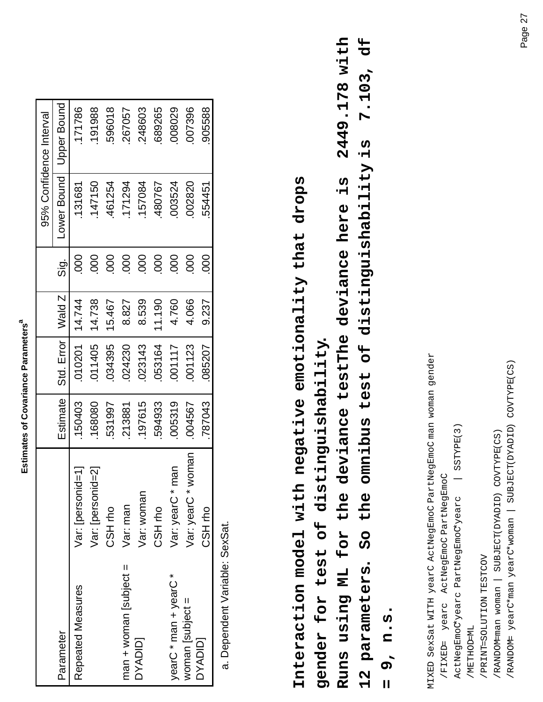| i           |
|-------------|
|             |
|             |
|             |
|             |
|             |
|             |
|             |
| ı           |
| İ           |
| I<br>l      |
|             |
| ï           |
|             |
|             |
|             |
|             |
| ı           |
| l<br>ı<br>٠ |
| í           |
| ı           |
|             |
|             |
|             |
|             |
| i           |
| ١           |
|             |
|             |
|             |
|             |
|             |
|             |
|             |
| í           |
|             |
|             |
|             |

|                       |                       |          |                     |        |             |             | 95% Confidence Interval |
|-----------------------|-----------------------|----------|---------------------|--------|-------------|-------------|-------------------------|
| Parameter             |                       | Estimate | Std. Error   Wald Z |        | <u>.ດັ່</u> | -ower Bound | Upper Bound             |
| Repeated Measures     | Var: [personid=1]     | 150403   | 010201              | 14.744 | 000         | 131681      | 171786                  |
|                       | Var: [personid=2]     | 168080   | 011405              | 14.738 | 000         | 147150      | 191988                  |
|                       | CSH <sub>ro</sub>     | 531997   | 034395              | 15.467 | 80          | 461254      | 596018                  |
| $man + won$ subject = | Var: man              | 213881   | 024230              | 8.827  | 000         | 171294      | 267057                  |
| <b>DYADID</b>         | Var: woman            | 197615   | 023143              | 8.539  | 000         | 157084      | 248603                  |
|                       | CSH <sub>ro</sub>     | 594933   | 053164              | 11.190 | 000         | 480767      | 689265                  |
| yearC * man + yearC * | man<br>Var: yearC *   | 005319   | 001117              | 4.760  | 000         | 003524      | 008029                  |
| woman [subject $=$    | voman<br>Var: yearC * | 004567   | 001123              | 4.066  | 800         | 002820      | 007396                  |
| <b>DYADID</b>         | CSH rho               | 787043   | 085207              | 9.237  | 80          | 554451      | 905588                  |
|                       |                       |          |                     |        |             |             |                         |

**Interaction model with negative emotionality that drops**  Interaction model with negative emotionality that drops **gender for test of distinguishability.**  gender for test of distinguishability.

**12 parameters. So the omnibus test of distinguishability is 7.103, df Runs using ML for the deviance testThe deviance here is 2449.178 with**  2449.178 with 12 parameters. So the omnibus test of distinguishability is 7.103, df Runs using ML for the deviance testThe deviance here is

**= 9, n.s.**   $9, n. s.$  $\mathbf{u}$ 

MIXED SexSat WITH yearC ActNegEmoC PartNegEmoC man woman gender MIXED SexSat WITH yearC ActNegEmoC PartNegEmoC man woman gender /FIXED= yearc ActNegEmoC PartNegEmoC /FIXED= yearc ActNegEmoC PartNegEmoC

 ActNegEmoC\*yearc PartNegEmoC\*yearc | SSTYPE(3) | SSTYPE(3) ActNegEmoC\*yearc PartNegEmoC\*yearc

 /METHOD=ML /METHOD=ML

 /RANDOM=man woman | SUBJECT(DYADID) COVTYPE(CS) /RANDOM-man woman | SUBJECT(DYADID) COVTYPE(CS) /PRINT=SOLUTION TESTCOV / PRINT=SOLUTION TESTCOV

 /RANDOM= yearC\*man yearC\*woman | SUBJECT(DYADID) COVTYPE(CS) /RANDOM= yearC\*man yearC\*woman | SUBJECT(DYADID) COVTYPE(CS)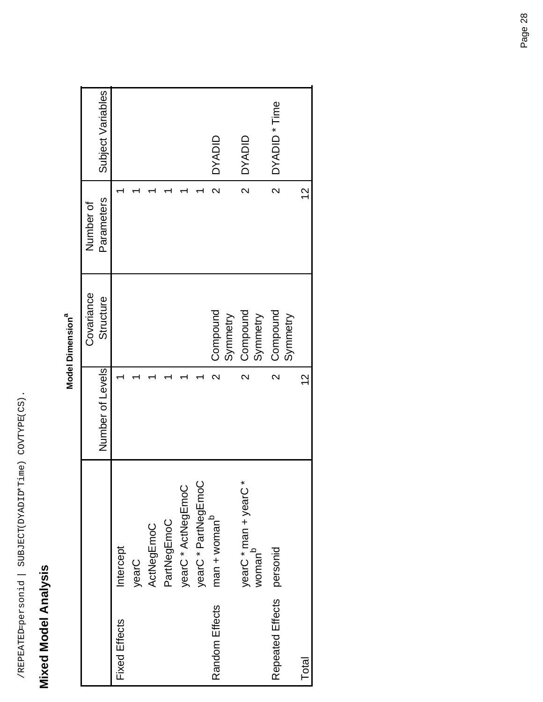# **Mixed Model Analysis Mixed Model Analysis**

|           | π |
|-----------|---|
|           |   |
|           |   |
|           |   |
|           |   |
|           |   |
|           |   |
|           |   |
|           |   |
|           |   |
| ֡֡֡֡֡֡֡֡֡ |   |
|           |   |
|           |   |
|           |   |
|           |   |

|                           |                                             |                         | Covariance           | Number of               |                   |
|---------------------------|---------------------------------------------|-------------------------|----------------------|-------------------------|-------------------|
|                           |                                             | Number of Levels        | Structure            | Parameters              | Subject Variables |
| <b>Fixed Effects</b>      | Intercept                                   |                         |                      |                         |                   |
|                           | yearC                                       |                         |                      |                         |                   |
|                           | ActNegEmoC                                  |                         |                      |                         |                   |
|                           | PartNegEmoC                                 |                         |                      |                         |                   |
|                           | yearC * ActNegEmoC                          |                         |                      |                         |                   |
|                           | yearC * PartNegEmoC                         |                         |                      |                         |                   |
| Random Effects            | $man + womanb$                              | $\overline{\mathsf{C}}$ | Compound             | $\overline{\mathsf{C}}$ | <b>OYADID</b>     |
|                           |                                             |                         | Symmetry             |                         |                   |
|                           | yearC * man + yearC *<br>woman <sup>b</sup> | $\mathsf{N}$            | Compound<br>Symmetry | $\overline{\mathsf{C}}$ | <b>OVADID</b>     |
|                           |                                             |                         |                      |                         |                   |
| Repeated Effects personid |                                             | $\overline{\mathsf{C}}$ | Compound             | $\overline{\mathsf{N}}$ | DYADID * Time     |
|                           |                                             |                         | Symmetry             |                         |                   |
| Total                     |                                             | $\frac{2}{1}$           |                      | $\frac{2}{3}$           |                   |
|                           |                                             |                         |                      |                         |                   |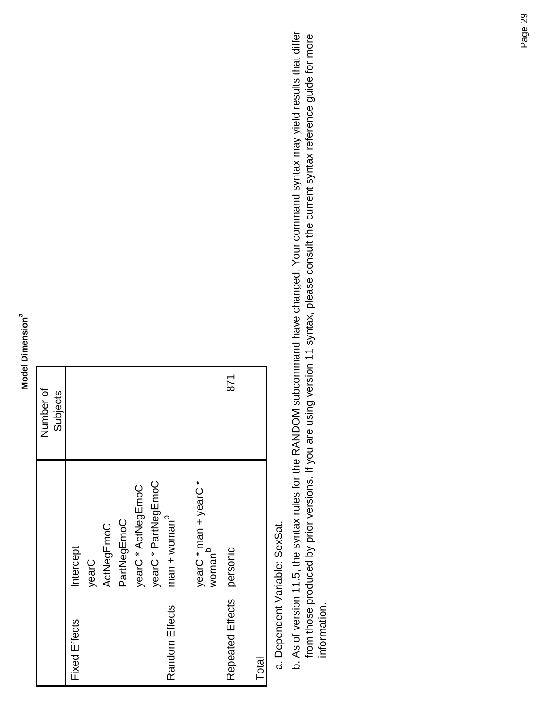|                      |                                             | Number of |
|----------------------|---------------------------------------------|-----------|
|                      |                                             | Subjects  |
| <b>Fixed Effects</b> | ntercept                                    |           |
|                      | yearC                                       |           |
|                      | ActNegEmoC                                  |           |
|                      | PartNegEmoC                                 |           |
|                      | yearC * ActNegEmoC                          |           |
|                      | yearC * PartNegEmoC                         |           |
| Random Effects       | $man + womanb$                              |           |
|                      |                                             |           |
|                      | yearC * man + yearC *<br>woman <sup>b</sup> |           |
|                      |                                             | 871       |
| Repeated Effects     | personid                                    |           |
| Total                |                                             |           |

As of version 11.5, the syntax rules for the RANDOM subcommand have changed. Your command syntax may yield results that differ b. As of version 11.5, the syntax rules for the RANDOM subcommand have changed. Your command syntax may yield results that differ from those produced by prior versions. If you are using version 11 syntax, please consult the current syntax reference guide for more from those produced by prior versions. If you are using version 11 syntax, please consult the current syntax reference guide for more information. information.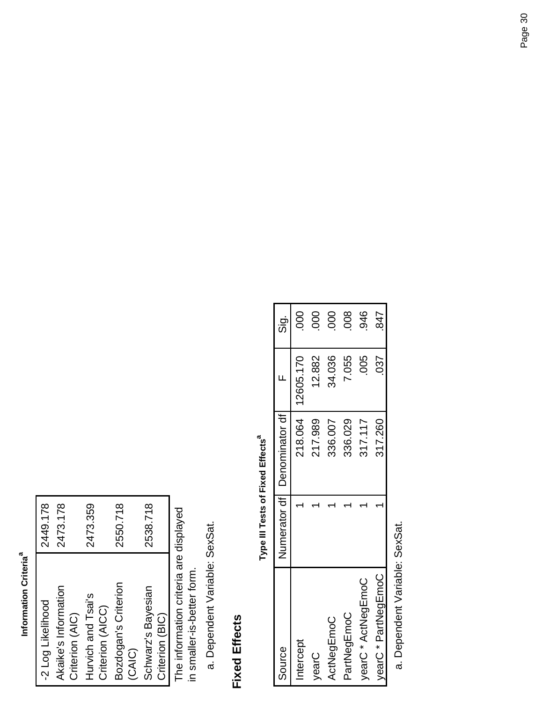#### Information Criteria<sup>a</sup> **Information Criteriaa**

| -2 Log Likelihood    | 2449.178 |
|----------------------|----------|
| Akaike's Information | 2473.178 |
| Criterion (AIC)      |          |
| Hurvich and Tsai's   | 2473.359 |
| Criterion (AICC)     |          |
| Bozdogan's Criterion | 2550.718 |
| CAIC)                |          |
| Schwarz's Bayesian   | 2538.718 |
| Criterion (BIC)      |          |

The information criteria are displayed<br>in smaller-is-better form. The information criteria are displayed in smaller-is-better form.

Dependent Variable: SexSat. a. Dependent Variable: SexSat.

#### **Fixed Effects Fixed Effects**

Type III Tests of Fixed Effects<sup>a</sup> **Type III Tests of Fixed Effects** 

| Source              | Numerator df   Denominator df |                     | <u>່ອ່</u>     |
|---------------------|-------------------------------|---------------------|----------------|
| Intercept           |                               | 218.064   12605.170 | 80             |
| vearC               | 217.989                       | 12.882              | $\overline{5}$ |
| ActNegEmoC          | 336.007                       | 34.036              | 800            |
| PartNegEmoC         | 336.029                       | 7.055               | $\frac{8}{2}$  |
| yearC * ActNegEmoC  | 317.117                       | 005                 | 946            |
| vearC * PartNegEmoC | 317.260                       | .037                | 847            |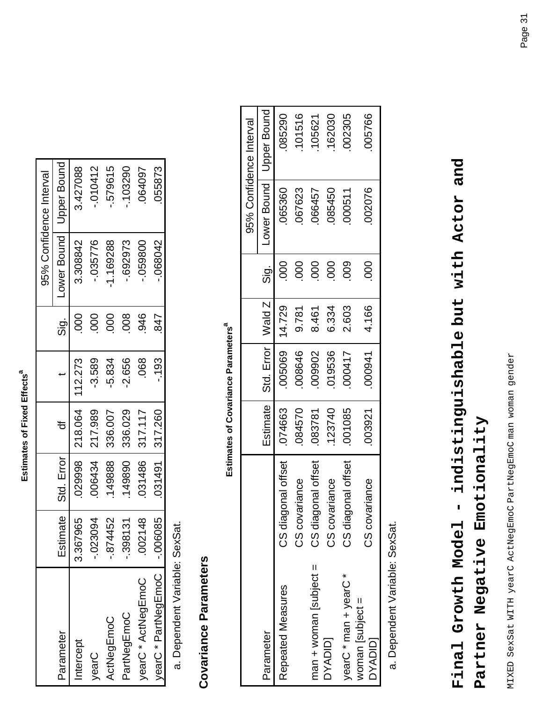| ٨                  |
|--------------------|
| ŗ                  |
| $\vdots$<br>ì<br>ı |
| 5<br>Ċ             |
| ֚֚֬                |

|                     |             |                       |                |          |                                     |           | 95% Confidence Interval   |
|---------------------|-------------|-----------------------|----------------|----------|-------------------------------------|-----------|---------------------------|
| Parameter           |             | Estimate   Std. Error |                |          | $\frac{\dot{\sigma}}{\dot{\Omega}}$ |           | Lower Bound   Upper Bound |
| Intercept           | 367965<br>ო |                       | 029998 218.064 | 112.273  |                                     | 3.308842  | 3.427088                  |
| yearC               | $-023094$   | 006434                | 217.989        | -3.589   | 000                                 | .035776   | 010412                    |
| ActNegEmoC          | 874452      | 149888                | 336.007        | -5.834   | 000                                 | -1.169288 | 579615                    |
| PartNegEmoC         | 398131      | 149890                | 336.029        | $-2.656$ | 800                                 | .692973   | $-103290$                 |
| yearC * ActNegEmoC  | 002148      | 031486                | 1317.117       | 068      | 946                                 | 059800    | 064097                    |
| yearC * PartNegEmoC | 006085      |                       | 031491 317.260 | $-193$   | 847                                 | 068042    | )55873                    |

# **Covariance Parameters Covariance Parameters**

Estimates of Covariance Parameters<sup>a</sup> **Estimates of Covariance Parameters**<sup>a</sup>

|                             |                    |        |                                |        |               |             | 95% Confidence Interval |
|-----------------------------|--------------------|--------|--------------------------------|--------|---------------|-------------|-------------------------|
| Parameter                   |                    |        | Estimate   Std. Error   Wald Z |        | $\frac{1}{2}$ | Lower Bound | Upper Bound             |
| Repeated Measures           | CS diagonal offset | 074663 | 05069                          | 14.729 |               | 065360      | 0625290                 |
|                             | CS covariance      | 084570 | 008646                         | 9.781  | 000           | 067623      | 101516                  |
| $man + woman$ subject =     | CS diagonal offset | 083781 | 109902                         | 8.461  | 000           | 766457      | 105621                  |
| DYADID <sub>1</sub>         | CS covariance      | 123740 | 019536                         | 6.334  | 000           | 085450      | 162030                  |
| yearC * man + yearC *       | CS diagonal offset | 001085 | <b>1000417</b>                 | 2.603  | 800           | 000511      | 002305                  |
| woman [subject =<br>DYADID] | CS covariance      | 003921 | 000941                         | 4.166  | 80            | 002076      | 005766                  |

Dependent Variable: SexSat. a. Dependent Variable: SexSat.

# **Final Growth Model - indistinguishable but with Actor and**  Final Growth Model - indistinguishable but with Actor and Partner Negative Emotionality **Partner Negative Emotionality**

MIXED SexSat WITH yearC ActNegEmoC PartNegEmoC man woman gender MIXED SexSat WITH yearC ActNegEmoC PartNegEmoC man woman gender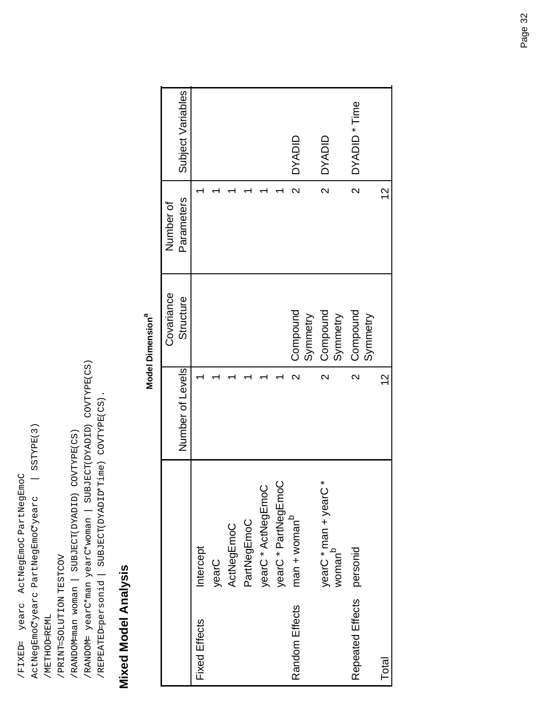ActNegEmoC\*yearc PartNegEmoC\*yearc | SSTYPE(3) SSTYPE(3) /FIXED= yearc ActNegEmoC PartNegEmoC /FIXED= yearc ActNegEmoC PartNegEmoC ActNegEmoCyearc PartNegEmoCyearc

 /PRINT=SOLUTION TESTCOV /PRINT=SOLUTION TESTCOV /METHOD=REML /METHOD=REML

 /RANDOM=man woman | SUBJECT(DYADID) COVTYPE(CS) /RANDOM-man woman | SUBJECT(DYADID) COVTYPE(CS)

 /RANDOM= yearC\*man yearC\*woman | SUBJECT(DYADID) COVTYPE(CS) /RANDOM= yearC\*man yearC\*woman | SUBJECT(DYADID) COVTYPE(CS)

/REPEATED=personid | SUBJECT(DYADID\*Time) COVTYPE(CS). /REPEATED=personid | SUBJECT(DYADID\*Time) COVTYPE(CS).

# **Mixed Model Analysis Mixed Model Analysis**

|                      |                                                |                         | Model Dimension      |                         |                   |
|----------------------|------------------------------------------------|-------------------------|----------------------|-------------------------|-------------------|
|                      |                                                |                         | Covariance           | Number of               |                   |
|                      |                                                | Number of Levels        | Structure            | Parameters              | Subject Variables |
| <b>Fixed Effects</b> | Intercept                                      |                         |                      |                         |                   |
|                      | yearC                                          |                         |                      |                         |                   |
|                      | ActNegEmoC                                     |                         |                      |                         |                   |
|                      | PartNegEmoC                                    |                         |                      |                         |                   |
|                      | yearC * ActNegEmoC                             |                         |                      |                         |                   |
|                      | yearC * PartNegEmoC                            |                         |                      |                         |                   |
| Random Effects       | $man + womanb$                                 | $\overline{\mathsf{C}}$ | Compound             | $\overline{\mathsf{C}}$ | <b>OYADID</b>     |
|                      |                                                |                         | Symmetry             |                         |                   |
|                      | ×<br>yearC * man + yearC<br>woman <sup>b</sup> | $\overline{\mathsf{C}}$ | Compound<br>Symmetry | $\overline{\mathsf{C}}$ | <b>DYADID</b>     |
| Repeated Effects     | personid                                       | $\overline{\mathsf{C}}$ | Compound<br>Symmetry | $\overline{\mathsf{C}}$ | DYADID * Time     |
| <b>Total</b>         |                                                | $\frac{2}{3}$           |                      | $\frac{2}{1}$           |                   |
|                      |                                                |                         |                      |                         |                   |

#### Model Dimension<sup>a</sup> **Model Dimensiona**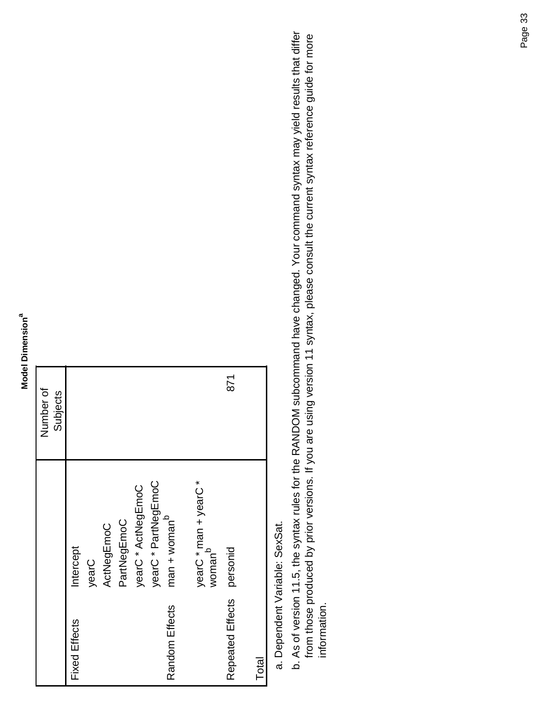|                      |                                             | Number of |
|----------------------|---------------------------------------------|-----------|
|                      |                                             | Subjects  |
| <b>Fixed Effects</b> | ntercept                                    |           |
|                      | yearC                                       |           |
|                      | ActNegEmoC                                  |           |
|                      | PartNegEmoC                                 |           |
|                      | yearC * ActNegEmoC                          |           |
|                      | yearC * PartNegEmoC                         |           |
| Random Effects       | $man + womanb$                              |           |
|                      |                                             |           |
|                      | yearC * man + yearC *<br>woman <sup>b</sup> |           |
| Repeated Effects     | personid                                    | 871       |
|                      |                                             |           |
| Total                |                                             |           |

As of version 11.5, the syntax rules for the RANDOM subcommand have changed. Your command syntax may yield results that differ b. As of version 11.5, the syntax rules for the RANDOM subcommand have changed. Your command syntax may yield results that differ from those produced by prior versions. If you are using version 11 syntax, please consult the current syntax reference guide for more from those produced by prior versions. If you are using version 11 syntax, please consult the current syntax reference guide for more information. information.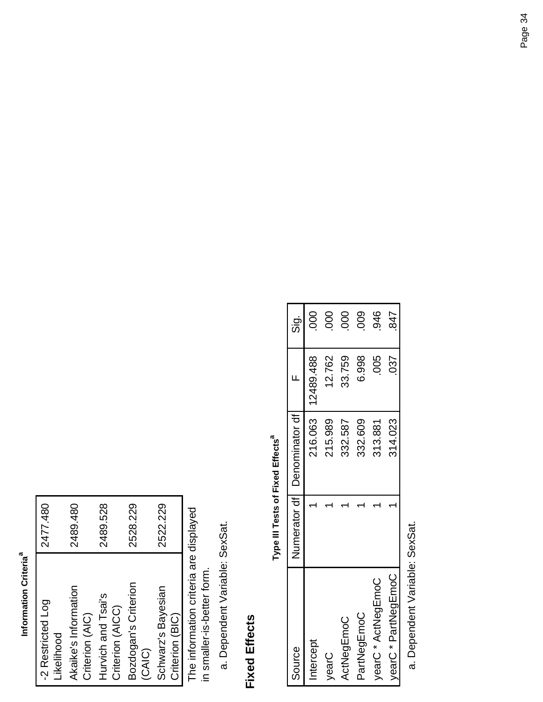#### Information Criteria<sup>a</sup> **Information Criteriaa**

| -2 Restricted Log    | 2477.480 |
|----------------------|----------|
| Likelihood           |          |
| Akaike's Information | 2489.480 |
| Criterion (AIC)      |          |
| Hurvich and Tsai's   | 2489.528 |
| Criterion (AICC)     |          |
| Bozdogan's Criterion | 2528.229 |
| <b>CAIC</b>          |          |
| Schwarz's Bayesian   | 2522.229 |
| Criterion (BIC)      |          |

The information criteria are displayed<br>in smaller-is-better form. The information criteria are displayed in smaller-is-better form.

Dependent Variable: SexSat. a. Dependent Variable: SexSat.

#### **Fixed Effects Fixed Effects**

Type III Tests of Fixed Effects<sup>a</sup> **Type III Tests of Fixed Effects** 

| Source              | Numerator df   Denominator df |                     | $\frac{\dot{\sigma}}{\dot{\Omega}}$ |
|---------------------|-------------------------------|---------------------|-------------------------------------|
| ntercept            |                               | 216.063   12489.488 |                                     |
| VearC               | 215.989                       | 12.762              | 80                                  |
| ActNegEmoC          | 332.587                       | 33.759              | 000                                 |
| PartNegEmoC         | 332.609                       | 6.998               | 009                                 |
| yearC * ActNegEmoC  | 313.881                       | 800                 | 946                                 |
| yearC * PartNegEmoC | 314.023                       | 037                 | 847                                 |